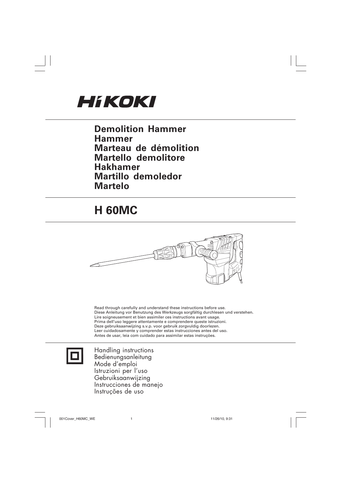

**Demolition Hammer Hammer Marteau de démolition Martello demolitore Hakhamer Martillo demoledor Martelo**

# **H 60MC**



Read through carefully and understand these instructions before use. Diese Anleitung vor Benutzung des Werkzeugs sorgfältig durchlesen und verstehen. Lire soigneusement et bien assimiler ces instructions avant usage. Prima dell'uso leggere attentamente e comprendere queste istruzioni. Deze gebruiksaanwijzing s.v.p. voor gebruik zorgvuldig doorlezen. Leer cuidadosamente y comprender estas instrucciones antes del uso. Antes de usar, leia com cuidado para assimilar estas instruções.



Handling instructions Bedienungsanleitung Mode d'emploi Istruzioni per l'uso Gebruiksaanwijzing Instrucciones de manejo Instruções de uso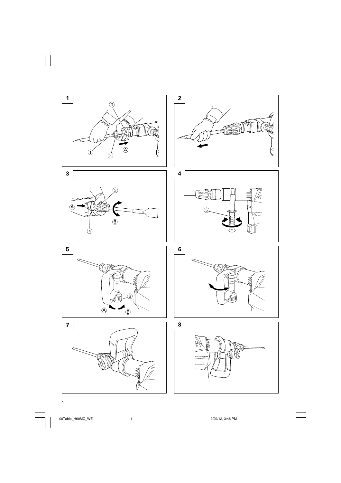







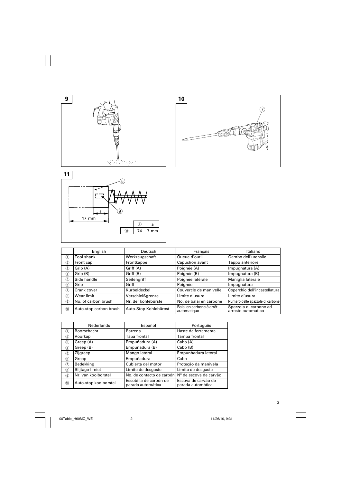





|               | English                | Deutsch               | Francais                                | Italiano                                     |
|---------------|------------------------|-----------------------|-----------------------------------------|----------------------------------------------|
| O             | Tool shank             | Werkzeugschaft        | Queue d'outil                           | Gambo dell'utensile                          |
| (2)           | Front cap              | Frontkappe            | Capuchon avant                          | Tappo anteriore                              |
| (3)           | Grip (A)               | Griff (A)             | Poignée (A)                             | Impugnatura (A)                              |
| $\circled{4}$ | Grip (B)               | Griff (B)             | Poignée (B)                             | Impugnatura (B)                              |
| (5)           | Side handle            | Seitengriff           | Poignée latérale                        | Maniglia laterale                            |
| (6)           | Grip                   | Griff                 | Poignée                                 | Impugnatura                                  |
| (7)           | Crank cover            | Kurbeldeckel          | Couvercle de manivelle                  | Coperchio dell'incastellatura                |
| (8)           | Wear limit             | Verschleißgrenze      | Limite d'usure                          | Limite d'usura                               |
| $\circled{9}$ | No. of carbon brush    | Nr. der kohlebürste   | No. de balai en carbone                 | Numero delle spazzole di carbone             |
| (10)          | Auto-stop carbon brush | Auto-Stop Kohlebürest | Balai en carbone à arrêt<br>automatique | Spazzola di carbone ad<br>arresto automatico |

|                  | Nederlands            | Español                                                          | Português                                |
|------------------|-----------------------|------------------------------------------------------------------|------------------------------------------|
| 1.               | Boorschacht           | Barrena                                                          | Haste da ferramenta                      |
| ②                | Voorkap               | Tapa frontal                                                     | Tampa frontal                            |
| ③                | Greep (A)             | Empuñadura (A)                                                   | Cabo (A)                                 |
| $\left(4\right)$ | Greep (B)             | Empuñadura (B)                                                   | Cabo (B)                                 |
| (5)              | Zijgreep              | Mango lateral                                                    | Empunhadura lateral                      |
| 6                | Greep                 | Empuñadura                                                       | Cabo                                     |
| (7)              | Bedekking             | Cubierta del motor                                               | Proteção da manivela                     |
| (8)              | Slijtage-limiet       | Límite de desgaste                                               | Limite de desgaste                       |
| 9)               | Nr. van koolborstel   | No, de contacto de carbón $\mathsf{N}^\circ$ de escova de carvão |                                          |
| (10)             | Auto-stop koolborstel | Escobilla de carbón de<br>parada automática                      | Escova de carvão de<br>parada automática |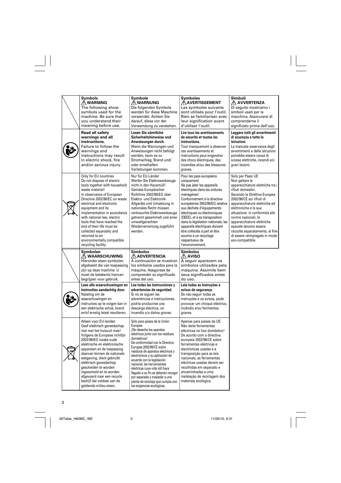| <b>Symbols</b><br>∕∆WARNING<br>The following show<br>symbols used for the<br>machine. Be sure that<br>you understand their<br>meaning before use.                                                                                                                                                                                                                                                                                                     | Symbole<br>∕ <u>∆</u> WARNUNG<br>Die folgenden Symbole<br>werden für diese Maschine<br>verwendet. Achten Sie<br>darauf, diese vor der<br>Verwendung zu verstehen.                                                                                                                                                                                                                                                                                                                                         | <b>Symboles</b><br><u> ∕∖</u> AVERTISSEMENT<br>Les symboles suivants<br>sont utilisés pour l'outil.<br>Bien se familiariser avec<br>leur signification avant<br>d'utiliser l'outil.                                                                                                                                                                                                                                                                     | <b>Simboli</b><br>∕!∖ AVVERTENZA<br>Di seguito mostriamo i<br>simboli usati per la<br>macchina. Assicurarsi di<br>comprenderne il<br>significato prima dell'uso.                                                                                                                                                                                                                                                            |
|-------------------------------------------------------------------------------------------------------------------------------------------------------------------------------------------------------------------------------------------------------------------------------------------------------------------------------------------------------------------------------------------------------------------------------------------------------|-----------------------------------------------------------------------------------------------------------------------------------------------------------------------------------------------------------------------------------------------------------------------------------------------------------------------------------------------------------------------------------------------------------------------------------------------------------------------------------------------------------|---------------------------------------------------------------------------------------------------------------------------------------------------------------------------------------------------------------------------------------------------------------------------------------------------------------------------------------------------------------------------------------------------------------------------------------------------------|-----------------------------------------------------------------------------------------------------------------------------------------------------------------------------------------------------------------------------------------------------------------------------------------------------------------------------------------------------------------------------------------------------------------------------|
| Read all safety<br>warnings and all<br>instructions.<br>Failure to follow the<br>warnings and<br>instructions may result<br>in electric shock, fire<br>and/or serious injury.                                                                                                                                                                                                                                                                         | Lesen Sie sämtliche<br>Sicherheitshinweise und<br>Anweisungen durch.<br>Wenn die Warnungen und<br>Anweisungen nicht befolgt<br>werden, kann es zu<br>Stromschlag, Brand und/<br>oder ernsthaften<br>Verletzungen kommen.                                                                                                                                                                                                                                                                                  | Lire tous les avertissements<br>de sécurité et toutes les<br>instructions.<br>Tout manquement à observer<br>ces avertissements et<br>instructions peut engendrer<br>des chocs électriques, des<br>incendies et/ou des blessures<br>graves.                                                                                                                                                                                                              | Leggere tutti gli avvertimenti<br>di sicurezza e tutte le<br>istruzioni.<br>La mancata osservanza degli<br>avvertimenti e delle istruzioni<br>potrebbe essere causa di<br>scosse elettriche, incendi e/o<br>gravi lesioni.                                                                                                                                                                                                  |
| Only for EU countries<br>Do not dispose of electric<br>tools together with household<br>waste material!<br>In observance of European<br>Directive 2002/96/EC on waste<br>electrical and electronic<br>equipment and its<br>implementation in accordance<br>with national law, electric<br>tools that have reached the<br>end of their life must be<br>collected separately and<br>returned to an<br>environmentally compatible<br>recycling facility. | Nur für EU-Länder<br>Werfen Sie Elektrowerkzeuge<br>nicht in den Hausmüll!<br>Gemäss Europäischer<br>Richtlinie 2002/96/EG über<br>Elektro- und Elektronik-<br>Altgeräte und Umsetzung in<br>nationales Recht müssen<br>verbrauchte Elektrowerkzeuge<br>getrennt gesammelt und einer<br>umweltgerechten<br>Wiederververtung zugeführt<br>werden.                                                                                                                                                          | Pour les pays européens<br>uniquement<br>Ne pas jeter les appareils<br>électriques dans les ordures<br>ménagères!<br>Conformément à la directive<br>européenne 2002/96/EG relative<br>aux déchets d'équipements<br>électriques ou électroniques<br>(DEEE), et à sa transposition<br>dans la législation nationale, les<br>appareils électriques doivent<br>être collectés à part et être<br>soumis à un recyclage<br>respectueux de<br>l'environnement. | Solo per Paesi UE<br>Non gettare le<br>apparecchiature elettriche tra i<br>rifiuti domestici.<br>Secondo la Direttiva Europea<br>2002/96/CE sui rifiuti di<br>apparecchiature elettriche ed<br>elettroniche e la sua<br>attuazione in conformità alle<br>norme nazionali, le<br>apparecchiature elettriche<br>esauste devono essere<br>raccolte separatamente, al fine<br>di essere reimpiegate in modo<br>eco-compatibile. |
| Symbolen<br>A WAARSCHUWING<br>Hieronder staan symbolen<br>afgebeeld die van toepassing<br>zijn op deze machine. U<br>moet de betekenis hiervan<br>begrijpen voor gebruik.                                                                                                                                                                                                                                                                             | Símbolos<br>∕ ADVERTENCIA<br>A continuación se muestran<br>los símbolos usados para la<br>máquina. Asegúrese de<br>comprender su significado<br>antes del uso.                                                                                                                                                                                                                                                                                                                                            | <b>Símbolos</b><br>∕∆ AVISO<br>A seguir aparecem os<br>símbolos utilizados pela<br>máquina. Assimile bem<br>seus significados antes<br>do uso.                                                                                                                                                                                                                                                                                                          |                                                                                                                                                                                                                                                                                                                                                                                                                             |
| Lees alle waarschuwingen en<br>instructies aandachtig door.<br>Nalating om de<br>waarschuwingen en<br>instructies op te volgen kan in<br>een elektrische schok, brand<br>en/of ernstig letsel resulteren.                                                                                                                                                                                                                                             | Lea todas las instrucciones y<br>advertencias de seguridad.<br>Si no se siguen las<br>advertencias e instrucciones,<br>podría producirse una<br>descarga eléctrica, un<br>incendio y/o daños graves.                                                                                                                                                                                                                                                                                                      | Leia todas as instruções e<br>avisos de segurança.<br>Se não seguir todas as<br>instruções e os avisos, pode<br>provocar um choque eléctrico,<br>incêndio e/ou ferimentos<br>graves.                                                                                                                                                                                                                                                                    |                                                                                                                                                                                                                                                                                                                                                                                                                             |
| Alleen voor EU-landen<br>Geef elektrisch gereedschap<br>niet met het huisvuil mee!<br>Volgens de Europese richtlijn<br>2002/96/EG inzake oude<br>elektrische en elektronische<br>apparaten en de toepassing<br>daarvan binnen de nationale<br>wetgeving, dient gebruikt<br>elektrisch gereedschap<br>gescheiden te worden<br>ingezameld en te worden<br>afgevoerd naar een recycle<br>bedrijf dat voldoet aan de<br>geldende milieu-eisen.            | Sólo para países de la Unión<br>Europea<br>¡No deseche los aparatos<br>eléctricos junto con los residuos<br>domésticos!<br>De conformidad con la Directiva<br>Europea 2002/96/CE sobre<br>residuos de aparatos eléctricos y<br>electrónicos y su aplicación de<br>acuerdo con la legislación<br>nacional, las herramientas<br>eléctricas cuya vida útil haya<br>llegado a su fin se deberán recoger<br>por separado y trasladar a una<br>planta de reciclaje que cumpla con<br>las exigencias ecológicas. | Apenas para países da UE<br>Não deite ferramentas<br>eléctricas no lixo doméstico!<br>De acordo com a directiva<br>europeia 2002/96/CE sobre<br>ferramentas eléctricas e<br>electrónicas usadas e a<br>transposição para as leis<br>nacionais, as ferramentas<br>eléctricas usadas devem ser<br>recolhidas em separado e<br>encaminhadas a uma<br>instalação de reciclagem dos<br>materiais ecológica.                                                  |                                                                                                                                                                                                                                                                                                                                                                                                                             |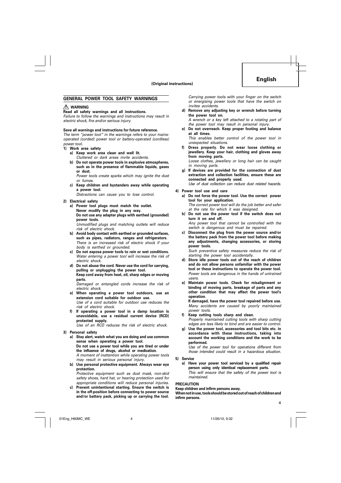# **GENERAL POWER TOOL SAFETY WARNINGS**

### **WARNING**

#### **Read all safety warnings and all instructions.**

Failure to follow the warnings and instructions may result in electric shock, fire and/or serious injury.

#### **Save all warnings and instructions for future reference.**

The term "power tool" in the warnings refers to your mainsoperated (corded) power tool or battery-operated (cordless) power tool.

#### **1) Work area safety**

- **a) Keep work area clean and well lit.** Cluttered or dark areas invite accidents.
- **b) Do not operate power tools in explosive atmospheres, such as in the presence of flammable liquids, gases or dust.**

Power tools create sparks which may ignite the dust or fumes.

**c) Keep children and bystanders away while operating a power tool.**

Distractions can cause you to lose control.

#### **2) Electrical safety**

**a) Power tool plugs must match the outlet. Never modify the plug in any way. Do not use any adapter plugs with earthed (grounded) power tools.**

Unmodified plugs and matching outlets will reduce risk of electric shock.

- **b) Avoid body contact with earthed or grounded surfaces, such as pipes, radiators, ranges and refrigerators.** There is an increased risk of electric shock if your body is earthed or grounded.
- **c) Do not expose power tools to rain or wet conditions.** Water entering a power tool will increase the risk of electric shock.
- **d) Do not abuse the cord. Never use the cord for carrying, pulling or unplugging the power tool. Keep cord away from heat, oil, sharp edges or moving parts.** Damaged or entangled cords increase the risk of electric shock.
- **e) When operating a power tool outdoors, use an extension cord suitable for outdoor use.** Use of a cord suitable for outdoor use reduces the risk of electric shock.
- **f) If operating a power tool in a damp location is unavoidable, use a residual current device (RCD) protected supply.**

Use of an RCD reduces the risk of electric shock.

- **3) Personal safety**
	- **a) Stay alert, watch what you are doing and use common sense when operating a power tool. Do not use a power tool while you are tired or under the influence of drugs, alcohol or medication.** A moment of inattention while operating power tools may result in serious personal injury. **b) Use personal protective equipment. Always wear eye**
	- **protection.**

Protective equipment such as dust mask, non-skid safety shoes, hard hat, or hearing protection used for appropriate conditions will reduce personal injuries.

**c) Prevent unintentional starting. Ensure the switch is in the off-position before connecting to power source and/or battery pack, picking up or carrying the tool.** Carrying power tools with your finger on the switch or energising power tools that have the switch on invites accidents.

**d) Remove any adjusting key or wrench before turning the power tool on.** A wrench or a key left attached to a rotating part of

the power tool may result in personal injury.

**e) Do not overreach. Keep proper footing and balance at all times.** This enables better control of the power tool in

unexpected situations.

**f) Dress properly. Do not wear loose clothing or jewellery. Keep your hair, clothing and gloves away from moving parts.** Loose clothes, jewellery or long hair can be caught

in moving parts.

**g) If devices are provided for the connection of dust extraction and collection facilities, ensure these are connected and properly used.**

Use of dust collection can reduce dust related hazards.

- **4) Power tool use and care**
	- **a) Do not force the power tool. Use the correct power tool for your application.** The correct power tool will do the job better and safer at the rate for which it was designed.
	- **b) Do not use the power tool if the switch does not turn it on and off.** Any power tool that cannot be controlled with the switch is dangerous and must be repaired.
	- **c) Disconnect the plug from the power source and/or the battery pack from the power tool before making any adjustments, changing accessories, or storing power tools.**

Such preventive safety measures reduce the risk of starting the power tool accidentally.

- **d) Store idle power tools out of the reach of children and do not allow persons unfamiliar with the power tool or these instructions to operate the power tool.** Power tools are dangerous in the hands of untrained users.
- **e) Maintain power tools. Check for misalignment or binding of moving parts, breakage of parts and any other condition that may affect the power tool's operation.**

**If damaged, have the power tool repaired before use.** Many accidents are caused by poorly maintained power tools.

**f) Keep cutting tools sharp and clean.**

Properly maintained cutting tools with sharp cutting edges are less likely to bind and are easier to control.

**g) Use the power tool, accessories and tool bits etc. in accordance with these instructions, taking into account the working conditions and the work to be performed.**

Use of the power tool for operations different from those intended could result in a hazardous situation.

- **5) Service**
	- **a) Have your power tool serviced by a qualified repair person using only identical replacement parts.** This will ensure that the safety of the power tool is

maintained.

# **PRECAUTION**

**Keep children and infirm persons away.**

**When not in use, tools should be stored out of reach of children and infirm persons.**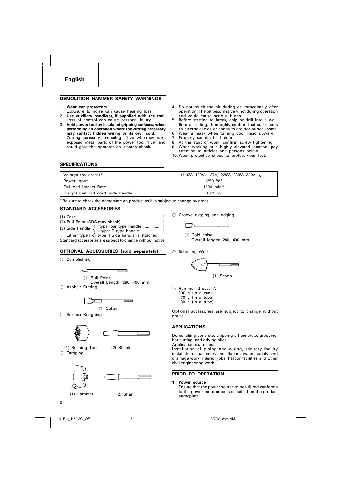# **DEMOLITION HAMMER SAFETY WARNINGS**

- 1. **Wear ear protectors**
- Exposure to noise can cause hearing loss.
- 2. **Use auxiliary handle(s), if supplied with the tool.** Loss of control can cause personal injury.
- 3. **Hold power tool by insulated gripping surfaces, when performing an operation where the cutting accessory may contact hidden wiring or its own cord.** Cutting accessory contacting a "live" wire may make exposed metal parts of the power tool "live" and could give the operator an electric shock.
- 4. Do not touch the bit during or immediately after operation. The bit becomes very hot during operation and could cause serious burns.
- 5. Before starting to break, chip or drill into a wall, floor or ceiling, thoroughly confirm that such items as electric cables or conduits are not buried inside.
- 6. Wear a mask when turning your head upward.
- 7. Properly set the bit holder
- 8. At the start of work, confirm screw tightening.
- 9. When working at a highly elevated location, pay attention to articles and persons below.
- 10. Wear protective shoes to protect your feet.

# **SPECIFICATIONS**

| Voltage (by areas)*                | (110V, 120V, 127V, 220V, 230V, 240V) |
|------------------------------------|--------------------------------------|
| Power Input                        | 1250 W*                              |
| Full-load Impact Rate              | $1600$ min <sup>-1</sup>             |
| Weight (without cord, side handle) | $10.2$ kg                            |

\*Be sure to check the nameplate on product as it is subject to change by areas.

# **STANDARD ACCESSORIES**

Either type I or type II Side handle is attached. Standard accessories are subject to change without notice.

# **OPTIONAL ACCESSORIES (sold separately)**

 $\bigcirc$  Demolishing

 $\bigcirc$  Asphalt Cutting (1) Bull Point Overall Length: 280, 400 mm



(1) Cutter

 $\bigcirc$  Surface Roughing





 $\bigcirc$  Tamping (1) Bushing Tool (2) Shank



(1) Rammer (2) Shank





$$
\qquad \qquad \Box
$$

- (1) Cold chisel Overall length: 280, 400 mm
- $\bigcirc$  Scooping Work



(1) Scoop

O Hammer Grease A 500 g (in a can) 70 g (in a tube) 30 g (in a tube)

Optional accessories are subject to change without notice.

# **APPLICATIONS**

Demolishing concrete, chipping off concrete, grooving, bar cutting, and driving piles.

Application examples:

Installation of piping and wiring, sanitary facility installation, machinery installation, water supply and drainage work, interior jobs, harbor facilities and other civil engineering work.

### **PRIOR TO OPERATION**

**1. Power source**

Ensure that the power source to be utilized conforms to the power requirements specified on the product nameplate.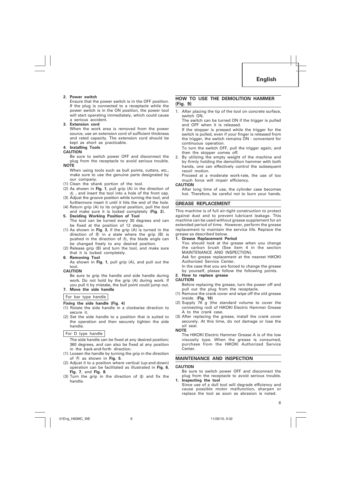#### **2. Power switch**

Ensure that the power switch is in the OFF position. If the plug is connected to a receptacle while the power switch is in the ON position, the power tool will start operating immediately, which could cause a serious accident.

#### **3. Extension cord**

When the work area is removed from the power source, use an extension cord of sufficient thickness and rated capacity. The extension cord should be kept as short as practicable.

#### **4. Installing Tools**

### **CAUTION**

Be sure to switch power OFF and disconnect the plug from the receptacle to avoid serious trouble. **NOTE**

When using tools such as bull points, cutters, etc., make sure to use the genuine parts designated by our company.

- (1) Clean the shank portion of the tool.
- (2) As shown in **Fig. 1**, pull grip (A) in the direction of  $(A)$ , and insert the tool into a hole of the front cap.
- (3) Adjust the groove position while turning the tool, and furthermore insert it until it hits the end of the hole.
- (4) Return grip (A) to its original position, pull the tool and make sure it is locked completely (**Fig. 2**).

**5. Deciding Working Position of Tool** The tool can be turned every 30 degrees and can be fixed at the position of 12 steps.

- (1) As shown in **Fig. 3**, if the grip (A) is turned in the direction of  $\circledR$  in a state where the grip (B) is pushed in the direction of  $(A)$ , the blade angle can be changed freely to any desired position.
- (2) Release grip (B) and turn the tool, and make sure that it is locked completely.

#### **6. Removing Tool**

As shown in **Fig. 1**, pull grip (A), and pull out the tool.

### **CAUTION**

Be sure to grip the handle and side handle during work. Do not hold by the grip (A) during work. If you pull it by mistake, the bull point could jump out.

# **7. Move the side handle**

# For bar type handle

### **Fixing the side handle (Fig. 4)**

- (1) Rotate the side handle in a clockwise direction to secure it.
- (2) Set the side handle to a position that is suited to the operation and then securely tighten the side handle.

#### For D type handle

The side handle can be fixed at any desired position; 360 degrees, and can also be fixed at any position in the back-and-forth direction.

- (1) Loosen the handle by turning the grip in the direction of A as shown in **Fig. 5**.
- (2) Adjust it to a position where vertical (up-and-down) operation can be facilitated as illustrated in **Fig. 6**, **Fig. 7**, and **Fig. 8**.
- (3) Turn the grip in the direction of  $\circledR$  and fix the handle.

# **HOW TO USE THE DEMOLITION HAMMER (Fig. 9)**

1. After placing the tip of the tool on concrete surface, switch ON.

The switch can be turned ON if the trigger is pulled and OFF when it is released.

If the stopper is pressed while the trigger for the switch is pulled, even if your finger is released from the trigger, the switch remains ON - convenient for continuous operation.

To turn the switch OFF, pull the trigger again, and then the stopper comes off.

2. By utilizing the empty weight of the machine and by firmly holding the demolition hammer with both hands, one can effectively control the subsequent recoil motion.

Proceed at a moderate work-rate, the use of too much force will impair efficiency.

#### **CAUTION**

After long time of use, the cylinder case becomes hot. Therefore, be careful not to burn your hands.

### **GREASE REPLACEMENT**

This machine is of full air-tight construction to protect against dust and to prevent lubricant leakage. This machine can be used without grease supplement for an extended period of time. However, perform the grease replacement to maintain the service life. Replace the grease as described below.

**1. Grease Replacement Period**

You should look at the grease when you change the carbon brush (See item 4 in the section MAINTENANCE AND INSPECTION). Ask for grease replacement at the nearest HiKOKI

Authorized Service Center. In the case that you are forced to change the grease

by yourself, please follow the following points.

# **2. How to replace grease**

#### **CAUTION**

Before replacing the grease, turn the power off and pull out the plug from the receptacle.

- (1) Remove the crank cover and wipe off the old grease inside. (**Fig. 10**)
- (2) Supply 76 g (the standard volume to cover the connecting rod) of HiKOKI Electric Hammer Grease A to the crank case. lacement at the nearest HiKOKI<br>Center.<br>are forced to change the grease<br>is follow the following points.<br>**ease**<br>e grease, turn the power off and<br>from the receptacle.<br>cover and wipe off the old grease<br>standard volume to cover
- (3) After replacing the grease, install the crank cover securely. At this time, do not damage or lose the oil seal.

#### **NOTE**

The HiKOKI Electric Hammer Grease A is of the low viscosity type. When the grease is consumed, purchase from the HiKOKI Authorized Service Center.

#### **MAINTENANCE AND INSPECTION**

#### **CAUTION**

Be sure to switch power OFF and disconnect the plug from the receptacle to avoid serious trouble.

# **1. Inspecting the tool**

Since use of a dull tool will degrade efficiency and cause possible motor malfunction, sharpen or replace the tool as soon as abrasion is noted.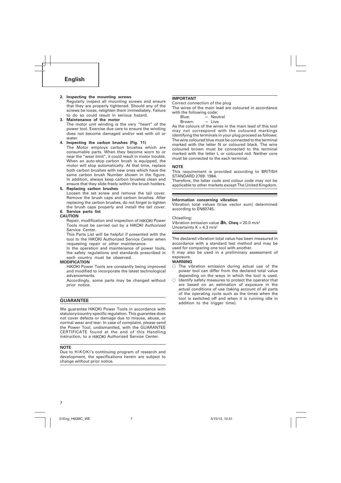# **English**

#### **2. Inspecting the mounting screws**

Regularly inspect all mounting screws and ensure that they are properly tightened. Should any of the screws be loose, retighten them immediately. Failure to do so could result in serious hazard.

#### **3. Maintenance of the motor**

The motor unit winding is the very "heart" of the power tool. Exercise due care to ensure the winding does not become damaged and/or wet with oil or water.

#### **4. Inspecting the carbon brushes (Fig. 11)**

The Motor employs carbon brushes which are consumable parts. When they become worn to or near the "wear limit", it could result in motor trouble. When an auto-stop carbon brush is equipped, the motor will stop automatically. At that time, replace both carbon brushes with new ones which have the same carbon brush Number shown in the figure. In addition, always keep carbon brushes clean and ensure that they slide freely within the brush holders.

#### **5. Replacing carbon brushes**

Loosen the set screw and remove the tail cover. Remove the brush caps and carbon brushes. After replacing the carbon brushes, do not forget to tighten the brush caps properly and install the tail cover.

# **6. Service parts list**

#### **CAUTION**

Repair, modification and inspection of HiKOKI Power Tools must be carried out by a HiKOKI Authorized Service Center.

This Parts List will be helpful if presented with the tool to the HiKOKI Authorized Service Center when requesting repair or other maintenance.

In the operation and maintenance of power tools, the safety regulations and standards prescribed in each country must be observed.

#### **MODIFICATION**

HiKOKI Power Tools are constantly being improved and modified to incorporate the latest technological advancements.

Accordingly, some parts may be changed without prior notice.

# **GUARANTEE**

We guarantee HiKOKI Power Tools in accordance with statutory/country specific regulation. This guarantee does not cover defects or damage due to misuse, abuse, or normal wear and tear. In case of complaint, please send the Power Tool, undismantled, with the GUARANTEE CERTIFICATE found at the end of this Handling instruction, to a HiKOKI Authorized Service Center.

#### **NOTE**

Due to HiKOKI's continuing program of research and development, the specifications herein are subject to change without prior notice.

#### **IMPORTANT**

Correct connection of the plug

The wires of the main lead are coloured in accordance with the following code:

| Blue:  | Neutral |
|--------|---------|
| Brown: | Live    |

As the colours of the wires in the main lead of this tool may not correspond with the coloured markings identifying the terminals in your plug proceed as follows: The wire coloured blue must be connected to the terminal marked with the letter N or coloured black. The wire coloured brown must be connected to the terminal marked with the letter L or coloured red. Neither core must be connected to the each terminal.

#### **NOTE**

This requirement is provided according to BRITISH STANDARD 2769: 1984.

Therefore, the letter code and colour code may not be applicable to other markets except The United Kingdom.

#### **Information concerning vibration**

Vibration total values (triax vector sum) determined according to EN60745.

Chiselling:

Vibration emission value  $\partial$ **h**, Cheq = 20.0 m/s<sup>2</sup> Uncertainty  $K = 4.3$  m/s<sup>2</sup>

The declared vibration total value has been measured in accordance with a standard test method and may be used for comparing one tool with another.

It may also be used in a preliminary assessment of exposure.

#### **WARNING**

- $\circ$  The vibration emission during actual use of the power tool can differ from the declared total value depending on the ways in which the tool is used.
- $\bigcirc$  Identify safety measures to protect the operator that are based on an estimation of exposure in the actual conditions of use (taking account of all parts of the operating cycle such as the times when the tool is switched off and when it is running idle in addition to the trigger time).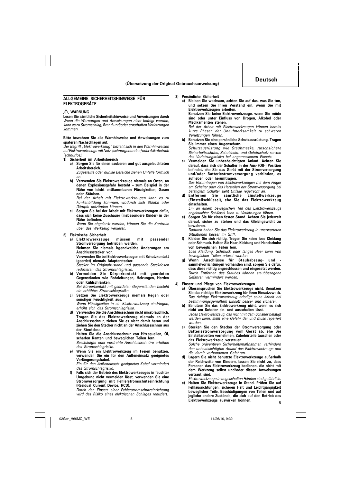#### **ALLGEMEINE SICHERHEITSHINWEISE FÜR ELEKTROGERÄTE**

#### **WARNUNG**

**Lesen Sie sämtliche Sicherheitshinweise und Anweisungen durch** Wenn die Warnungen und Anweisungen nicht befolgt werden, kann es zu Stromschlag, Brand und/oder ernsthaften Verletzungen kommen.

#### **Bitte bewahren Sie alle Warnhinweise und Anweisungen zum späteren Nachschlagen auf.**

Der Begriff "Elektrowerkzeug" bezieht sich in den Warnhinweisen auf Elektrowerkzeuge mit Netz- (schnurgebunden) oder Akkubetrieb (schnurlos).

- **1) Sicherheit im Arbeitsbereich**
	- **a) Sorgen Sie für einen sauberen und gut ausgeleuchteten Arbeitsbereich.**

Zugestellte oder dunkle Bereiche ziehen Unfälle förmlich an.

**b) Verwenden Sie Elektrowerkzeuge niemals an Orten, an denen Explosionsgefahr besteht – zum Beispiel in der Nähe von leicht entflammbaren Flüssigkeiten, Gasen oder Stäuben.**

Bei der Arbeit mit Elektrowerkzeugen kann es zu Funkenbildung kommen, wodurch sich Stäube oder Dämpfe entzünden können.

**c) Sorgen Sie bei der Arbeit mit Elektrowerkzeugen dafür, dass sich keine Zuschauer (insbesondere Kinder) in der Nähe befinden.**

Wenn Sie abgelenkt werden, können Sie die Kontrolle über das Werkzeug verlieren.

#### **2) Elektrische Sicherheit**

**a) Elektrowerkzeuge müssen mit passender Stromversorgung betrieben werden.**

**Nehmen Sie niemals irgendwelche Änderungen am Anschlussstecker vor.**

**Verwenden Sie bei Elektrowerkzeugen mit Schutzkontakt (geerdet) niemals Adapterstecker.**

Stecker im Originalzustand und passende Steckdosen reduzieren das Stromschlagrisiko.

**b) Vermeiden Sie Körperkontakt mit geerdeten Gegenständen wie Rohrleitungen, Heizungen, Herden oder Kühlschränken.**

Bei Körperkontakt mit geerdeten Gegenständen besteht ein erhöhtes Stromschlagrisiko.

- **c) Setzen Sie Elektrowerkzeuge niemals Regen oder sonstiger Feuchtigkeit aus.** Wenn Flüssigkeiten in ein Elektrowerkzeug eindringen, erhöht sich das Stromschlagrisiko.
- **d) Verwenden Sie die Anschlussschnur nicht missbräuchlich. Tragen Sie das Elektrowerkzeug niemals an der Anschlussschnur, ziehen Sie es nicht damit heran und ziehen Sie den Stecker nicht an der Anschlussschnur aus der Steckdose.**

**Halten Sie die Anschlussschnur von Hitzequellen, Öl, scharfen Kanten und beweglichen Teilen fern.**

Beschädigte oder verdrehte Anschlussschnüre erhöhen das Stromschlagrisiko.

**e) Wenn Sie ein Elektrowerkzeug im Freien benutzen, verwenden Sie ein für den Außeneinsatz geeignetes Verlängerungskabel.**

Ein für den Außeneinsatz geeignetes Kabel vermindert das Stromschlagrisiko.

**f) Falls sich der Betrieb des Elektrowerkzeuges in feuchter Umgebung nicht vermeiden lässt, verwenden Sie eine Stromversorgung mit Fehlerstromschutzeinrichtung (Residual Current Device, RCD).**

Durch den Einsatz einer Fehlerstromschutzeinrichtung wird das Risiko eines elektrischen Schlages reduziert.

- **3) Persönliche Sicherheit**
	- **a) Bleiben Sie wachsam, achten Sie auf das, was Sie tun, und setzen Sie Ihren Verstand ein, wenn Sie mit Elektrowerkzeugen arbeiten.**

**Benutzen Sie keine Elektrowerkzeuge, wenn Sie müde sind oder unter Einfluss von Drogen, Alkohol oder Medikamenten stehen.**

Bei der Arbeit mit Elektrowerkzeugen können bereits kurze Phasen der Unaufmerksamkeit zu schweren Verletzungen führen.

- **b) Benutzen Sie eine persönliche Schutzausrüstung. Tragen Sie immer einen Augenschutz.** Schutzausrüstung wie Staubmaske, rutschsichere Sicherheitsschuhe, Schutzhelm und Gehörschutz senken das Verletzungsrisiko bei angemessenem Einsatz.
- **c) Vermeiden Sie unbeabsichtigten Anlauf. Achten Sie darauf, dass sich der Schalter in der Aus- (Off-) Position befindet, ehe Sie das Gerät mit der Stromversorgung und/oder Batteriestromversorgung verbinden, es aufheben oder herumtragen.**

Das Herumtragen von Elektrowerkzeugen mit dem Finger am Schalter oder das Herstellen der Stromversorgung bei betätigtem Schalter zieht Unfälle regelrecht an.

**d) Entfernen Sie sämtliche Einstellwerkzeuge (Einstellschlüssel), ehe Sie das Elektrowerkzeug einschalten.**

Ein an einem beweglichen Teil des Elektrowerkzeugs angebrachter Schlüssel kann zu Verletzungen führen.

**e) Sorgen Sie für einen festen Stand. Achten Sie jederzeit darauf, sicher zu stehen und das Gleichgewicht zu bewahren.**

Dadurch haben Sie das Elektrowerkzeug in unerwarteten Situationen besser im Griff.

- **f) Kleiden Sie sich richtig. Tragen Sie keine lose Kleidung oder Schmuck. Halten Sie Haar, Kleidung und Handschuhe von beweglichen Teilen fern.** Lose Kleidung, Schmuck oder langes Haar kann von beweglichen Teilen erfasst werden.
- **g) Wenn Anschlüsse für Staubabsaug- und sammelvorrichtungen vorhanden sind, sorgen Sie dafür, dass diese richtig angeschlossen und eingesetzt werden.** Durch Entfernen des Staubes können staubbezogene Gefahren vermindert werden.

#### **4) Einsatz und Pflege von Elektrowerkzeugen**

**a) Überanspruchen Sie Elektrowerkzeuge nicht. Benutzen Sie das richtige Elektrowerkzeug für Ihren Einsatzzweck.** Das richtige Elektrowerkzeug erledigt seine Arbeit bei bestimmungsgemäßem Einsatz besser und sicherer.

- **b) Benutzen Sie das Elektrowerkzeug nicht, wenn es sich nicht am Schalter ein- und ausschalten lässt.** Jedes Elektrowerkzeug, das nicht mit dem Schalter betätigt werden kann, stellt eine Gefahr dar und muss repariert werden.
- **c) Stecken Sie den Stecker der Stromversorgung oder Batteriestromversorgung vom Gerät ab, ehe Sie Einstellarbeiten vornehmen, Zubehörteile tauschen oder das Elektrowerkzeug verstauen.**

Solche präventiven Sicherheitsmaßnahmen verhindern den unbeabsichtigten Anlauf des Elektrowerkzeugs und die damit verbundenen Gefahren.

**d) Lagern Sie nicht benutzte Elektrowerkzeuge außerhalb der Reichweite von Kindern, lassen Sie nicht zu, dass Personen das Elektrowerkzeug bedienen, die nicht mit dem Werkzeug selbst und/oder diesen Anweisungen vertraut sind.**

Elektrowerkzeuge in ungeschulten Händen sind gefährlich.

**e) Halten Sie Elektrowerkzeuge in Stand. Prüfen Sie auf Fehlausrichtungen, sicheren Halt und Leichtgängigkeit beweglicher Teile, Beschädigungen von Teilen und auf jegliche andere Zustände, die sich auf den Betrieb des Elektrowerkzeugs auswirken können.**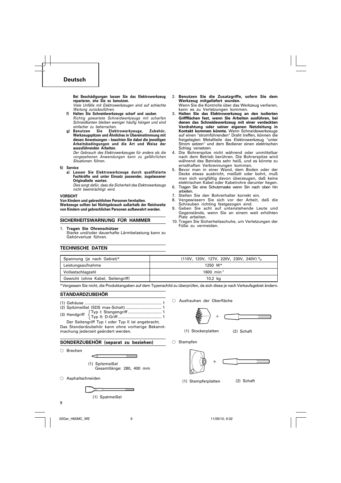**Bei Beschädigungen lassen Sie das Elektrowerkzeug reparieren, ehe Sie es benutzen.**

Viele Unfälle mit Elektrowerkzeugen sind auf schlechte Wartung zurückzuführen.

- **f) Halten Sie Schneidwerkzeuge scharf und sauber.** Richtig gewartete Schneidwerkzeuge mit scharfen Schneidkanten bleiben weniger häufig hängen und sind einfacher zu beherrschen.
- **g) Benutzen Sie Elektrowerkzeuge, Zubehör, Werkzeugspitzen und Ähnliches in Übereinstimmung mit diesen Anweisungen – beachten Sie dabei die jeweiligen Arbeitsbedingungen und die Art und Weise der auszuführenden Arbeiten.**

Der Gebrauch des Elektrowerkzeuges für andere als die vorgesehenen Anwendungen kann zu gefährlichen Situationen führen.

- **5) Service**
	- **a) Lassen Sie Elektrowerkzeuge durch qualifizierte Fachkräfte und unter Einsatz passender, zugelassener Originalteile warten.**

Dies sorgt dafür, dass die Sicherheit des Elektrowerkzeugs nicht beeinträchtigt wird.

**VORSICHT**

**Von Kindern und gebrechlichen Personen fernhalten.**

**Werkzeuge sollten bei Nichtgebrauch außerhalb der Reichweite von Kindern und gebrechlichen Personen aufbewahrt werden.**

# **SICHERHEITSWARNUNG FÜR HAMMER**

1. **Tragen Sie Ohrenschützer**

Starke und/oder dauerhafte Lärmbelastung kann zu Gehörverlust führen.

**TECHNISCHE DATEN**

- 2. **Benutzen Sie die Zusatzgriffe, sofern Sie dem Werkzeug mitgeliefert wurden.** Wenn Sie die Kontrolle über das Werkzeug verlieren. kann es zu Verletzungen kommen.
- 3. **Halten Sie das Elektrowerkzeug an den isolierten Griffflächen fest, wenn Sie Arbeiten ausführen, bei denen das Schneidewerkzeug mit einer verdeckten Verdrahtung oder seiner eigenen Netzleitung in Kontakt kommen könnte.** Wenn Schneidewerkzeuge auf einen "stromführenden" Draht treffen, können die freigelegten Metallteile das Elektrowerkzeug "unter Strom setzen" und dem Bediener einen elektrischen Schlag versetzen.
- 4. Die Bohrerspitze nicht während oder unmittelbar nach dem Betrieb berühren. Die Bohrerspitze wird während des Betriebs sehr heiß, und es könnte zu ernsthaften Verbrennungen kommen.
- 5. Bevor man in einer Wand, dem Boden oder der Decke etwas ausbricht, meißelt oder bohrt, muß man sich sorgfältig davon überzeugen, daß keine elektrischen Kabel oder Kabelrohre darunter liegen.
- 6. Tragen Sie eine Schutzmaske wenn Sin nach oben hin arbeiten.
- 7. Stellen Sie den Bohrerhalter korrekt ein.
- 8. Vergewissern Sie sich vor der Arbeit, daß die Schrauben richting festgezogen sind.
- 9. Geben Sie acht auf untenstehende Leute und Gegenstände, wenn Sie an einem weit erhöhten Platz arbeiten.
- 10. Tragen Sie Sicherheitsschuhe, um Verletzungen der Füße zu vermeiden.

| Spannung (je nach Gebiet)*        | (110V, 120V, 127V, 220V, 230V, 240V) |
|-----------------------------------|--------------------------------------|
| Leistungsaufnahme                 | 1250 W*                              |
| Vollastschlagzahl                 | $1600$ min <sup>-1</sup>             |
| Gewicht (ohne Kabel, Seitengriff) | $10,2$ kg                            |

\*Vergessen Sie nicht, die Produktangaben auf dem Typenschild zu überprüfen, da sich diese je nach Verkaufsgebiet ändern.

# **STANDARDZUBEHÖR**

(1) Gehäuse ..................................................................... 1 (2) Spitzmeißel (SDS max-Schalt) ................................ 1 (3) Handgriff Typ I: Stangengriff .............................. 1 Typ II: D-Griff ....................................... 1

Der Seitengriff Typ I oder Typ II ist angebracht. Das Standardzubehör kann ohne vorherige Bekanntmachung jederzeit geändert werden.

# **SONDERZUBEHÖR (separat zu beziehen)**

- Brechen
- (1) Spitzmeißel Gesamtlänge: 280, 400 mm
- $\bigcap$  Asphaltschneiden



Ausfrauhen der Oberfläche



(1) Stockerplatten (2) Schaft

Stampfen



(1) Stampferplatten (2) Schaft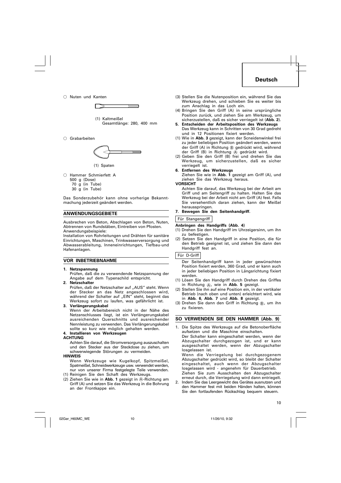$\bigcap$  Nuten und Kanten



- (1) Kaltmeißel Gesamtlänge: 280, 400 mm
- Grabarbeiten



(1) Spaten

- Hammer Schmierfett A
	- 500 g (Dose)
	- 70 g (in Tube)
	- 30 g (in Tube)

Das Sonderzubehör kann ohne vorherige Bekanntmachung jederzeit geändert werden.

# **ANWENDUNGSGEBIETE**

Ausbrechen von Beton, Abschlagen von Beton, Nuten, Abtrennen von Rundstäben, Eintreiben von Pfosten. Anwendungsbeispiele:

Installation von Rohrleitungen und Drähten für sanitäre Einrichtungen, Maschinen, Trinkwasserversorgung und Abwasserableitung, Inneneinrichtungen, Tiefbau-und Hafenanlagen.

### **VOR INBETRIEBNAHME**

**1. Netzspannung**

Prüfen, daß die zu verwendende Netzspannung der Angabe auf dem Typenschild entspricht.

**2. Netzschalter**

Prüfen, daß der Netzschalter auf "AUS" steht. Wenn der Stecker an das Netz angeschlossen wird, während der Schalter auf "EIN" steht, beginnt das Werkzeug sofort zu laufen, was gefährlicht ist.

#### **3. Verlängerungskabel**

Wenn der Arbeitsbereich nicht in der Nähe des Netzanschlusses liegt, ist ein Verlängerungskabel ausreichenden Querschnitts und ausreichender Nennleistung zu verwenden. Das Verlängerungskabel sollte so kurz wie möglich gehalten werden.

# **4. Installieren von Werkzeugen**

#### **ACHTUNG**

Achten Sie darauf, die Stromversorgung auszuschalten und den Stecker aus der Steckdose zu ziehen, um schwerwiegende Störungen zu vermeiden.

#### **HINWEIS**

Wenn Werkzeuge wie Kugelkopf, Spitzmeißel, Spatmeißel, Schneidwerkzeuge usw. verwendet werden, nur von unserer Firma festgelegte Teile verwenden.

- (1) Reinigen Sie den Schaft des Werkzeugs.
- (2) Ziehen Sie wie in Abb. 1 gezeigt in  $\bigcirc$ -Richtung am Griff (A) und setzen Sie das Werkzeug in die Bohrung an der Frontkappe ein.
- (3) Stellen Sie die Nutenposition ein, während Sie das Werkzeug drehen, und schieben Sie es weiter bis zum Anschlag in das Loch ein.
- (4) Bringen Sie den Griff (A) in seine ursprüngliche Position zurück, und ziehen Sie am Werkzeug, um sicherzustellen, daß es sicher verriegelt ist (**Abb. 2**).
- **5. Entscheiden der Arbeitsposition des Werkzeugs** Das Werkzeug kann in Schritten von 30 Grad gedreht und in 12 Positionen fixiert werden.
- (1) Wie in **Abb. 3** gezeigt, kann der Scneidenwinkel frei zu jeder beliebigen Position geändert werden, wenn der Griff (A) in Richtung ® gedrückt wird, während der Griff (B) in Richtung  $\phi$  gedrückt wird.
- (2) Geben Sie den Griff (B) frei und drehen Sie das Werkzeug, um sicherzustellen, daß es sicher verriegelt ist.
- **6. Entfernen des Werkzeugs**

Ziehen Sie wie in **Abb. 1** gezeigt am Griff (A), und ziehen Sie das Werkzeug heraus.

#### **VORSICHT**

Achten Sie darauf, das Werkzeug bei der Arbeit am Griff und am Seitengriff zu halten. Halten Sie das Werkzeug bei der Arbeit nicht am Griff (A) fest. Falls Sie versehentlich daran ziehen, kann der Meißel herausspringen.

**7. Bewegen Sie den Seitenhandgriff.**

# Für Stangengriff

### **Anbringen des Handgriffs (Abb. 4)**

- (1) Drehen Sie den Handgriff im Uhrzeigersinn, um ihn zu befestigen.
- (2) Setzen Sie den Handgriff in eine Position, die für den Betrieb geeignet ist, und ziehen Sie dann den Handgriff fest an.

# Für D-Griff

Der Seitenhandgriff kann in jeder gewünschten Position fixiert werden, 360 Grad, und er kann auch in jeder beliebigen Position in Längsrichtung fixiert werden.

- (1) Lösen Sie den Handgriff durch Drehen des Griffes in Richtung (A), wie in Abb. 5 gezeigt.
- (2) Stellen Sie ihn auf eine Position ein, in der vertikaler Betrieb (nach oben und unten) erleichtert wird, wie in **Abb. 6**, **Abb. 7** und **Abb. 8** gezeigt.
- (3) Drehen Sie dann den Griff in Richtung ®, um ihn zu fixieren.

# **SO VERWENDEN SIE DEN HAMMER (Abb. 9)**

1. Die Spitze des Werkzeugs auf die Betonoberfläche aufsetzen und die Maschine einschalten. Der Schalter kann eingeschaltet werden, wenn der Abzugschalter durchgezogen ist, und er kann ausgeschaltet werden, wenn der Abzugschalter losgelassen ist.

Wenn die Verriegelung bei durchgezogenem Abzugschalter gedrückt wird, so bleibt der Schalter eingeschaltet, auch wenn der Abzugschalter losgelassen wird - angenehm für Dauerbetrieb. Ziehen Sie zum Ausschalten den Abzugschalter erneut durch, die Verriegelung wird dann entriegelt.

2. Indem Sie das Leergewicht des Gerätes ausnutzen und den Hammer fest mit beiden Händen halten, können Sie den fortlaufenden Rückschlag bequem steuern.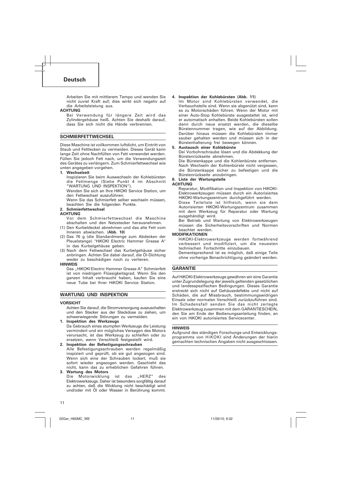Arbeiten Sie mit mittlerem Tempo und wenden Sie nicht zuviel Kraft auf; dies wirkt sich negativ auf die Arbeitsleistung aus.

# **ACHTUNG**

Bei Verwendung für längere Zeit wird das Zylindergehäuse heiß. Achten Sie deshalb darauf, dass Sie sich nicht die Hände verbrennen.

# **SCHMIERFETTWECHSEL**

Diese Maschine ist vollkommen luftdicht, um Eintritt von Staub und Fettlecken zu vermeiden. Dieses Gerät kann lange Zeit ohne Nachfüllen von Fett verwendet werden. Füllen Sie jedoch Fett nach, um die Verwendungszeit des Gerätes zu verlängern. Zum Schmierfettwechsel wie unten angegeben vorgehen.

#### **1. Wechselzeit**

Inspizieren Sie beim Auswechseln der Kohlebürsten die Fettmenge (Siehe Punkt 4 im Abschnitt "WARTUNG UND INSPEKTION").

Wenden Sie sich an Ihre HiKOKI Service Station, um den Fettwechsel auszuführen.

Wenn Sie das Schmierfett selber wechseln müssen, beachten Sie die folgenden Punkte.

# **2. Schmierfettwechsel**

# **ACHTUNG**

Vor dem Schmierfettwechsel die Maschine abschalten und den Netzstecker herausnehmen.

- (1) Den Kurbeldeckel abnehmen und das alte Fett vom Inneren abwischen. (**Abb. 10**)
- (2) Das 76 g (die Standardmenge zum Abdecken der Pleuelstange) "HiKOKI Electric Hammer Grease A" in das Kurbelgehäuse geben.
- (3) Nach dem Fettwechsel das Kurbelgehäuse sicher anbringen. Achten Sie dabei darauf, die Öl-Dichtung weder zu beschädigen noch zu verlieren.

# **HINWEIS**

Das "HiKOKI Electric Hammer Grease A" Schmierfett ist von niedrigem Flüssigkeitsgrad. Wenn Sie den ganzen Inhalt verbraucht haben, kaufen Sie eine neue Tube bei Ihrer HiKOKI Service Station.

### **WARTUNG UND INSPEKTION**

#### **VORSICHT**

Achten Sie darauf, die Stromversorgung auszuschalten und den Stecker aus der Steckdose zu ziehen, um schwerwiegende Störungen zu vermeiden.

**1. Inspektion des Werkzeugs**

Da Gebrauch eines stumpfen Werkzeugs die Leistung vermindert und ein mögliches Versagen des Motors verursacht, ist das Werkzeug zu schleifen oder zu ersetzen, wenn Verschleiß festgestellt wird.

**2. Inspektion der Befestigungsschrauben** Alle Befestigungsschrauben werden regelmäßig inspiziert und geprüft, ob sie gut angezogen sind. Wenn sich eine der Schrauben lockert, muß sie sofort wieder angezogen werden. Geschieht das nicht, kann das zu erheblichen Gefahren führen.

# **3. Wartung des Motors**

Die Motorwicklung ist das "HERZ" des Elektrowerkzeugs. Daher ist besonders sorgfältig darauf zu achten, daß die Wicklung nicht beschädigt wird und/oder mit Öl oder Wasser in Berührung kommt.

#### **4. Inspektion der Kohlebürsten (Abb. 11)**

Im Motor sind Kohlebürsten verwendet, die Verbauchsteile sind. Wenn sie abgenützt sind, kann es zu Motorschäden führen. Wenn der Motor mit einer Auto-Stop Kohlebürste ausgestattet ist, wird er automatisch anhalten. Beide Kohlebürsten sollen dann durch neue ersetzt werden, die dieselbe Bürstennummer tragen, wie auf der Abbildung. Darüber hinaus müssen die Kohlebürsten immer sauber gehalten werden und müssen sich in der Bürstenhalterung frei bewegen können.

#### **5. Austausch einer Kohlebürste**

Dei Vorbohrschraube lösen und die Abdekkung der Bürstenrückseite abnehmen.

Die Bürstenkappe und die Kohlenbürste entfernen. Nach Wechseln der Kohlenbürste nicht vergessen, die Bürstenkappe sicher zu befestigen und die Bürstenrückseite anzubringen.

# **6. Liste der Wartungsteile**

# **ACHTUNG**

Reparatur, Modifikation und Inspektion von HiKOKI-Elektrowerkzeugen müssen durch ein Autorisiertes HiKOKI-Wartungszentrum durchgeführt werden.

Diese Teileliste ist hilfreich, wenn sie dem Autorisierten HiKOKI-Wartungszentrum zusammen mit dem Werkzeug für Reparatur oder Wartung ausgehändigt wird.

Bei Betrieb und Wartung von Elektrowerkzeugen müssen die Sicherheitsvorschriften und Normen beachtet werden.

#### **MODIFIKATIONEN**

HiKOKI-Elektrowerkzeuge werden fortwährend verbessert und modifiziert, um die neuesten technischen Fortschritte einzubauen.

Dementsprechend ist es möglich, daß einige Teile ohne vorherige Benachrichtigung geändert werden.

# **GARANTIE**

Auf HiKOKI-Elektrowerkzeuge gewähren wir eine Garantie unter Zugrundelegung der jeweils geltenden gesetzlichen und landesspezifischen Bedingungen. Dieses Garantie erstreckt sich nicht auf Gehäusedefekte und nicht auf Schäden, die auf Missbrauch, bestimmungswidrigen Einsatz oder normalen Verschleiß zurückzuführen sind. Im Schadensfall senden Sie das nicht zerlegte Elektrowerkzeug zusammen mit dem GARANTIESCHEIN, den Sie am Ende der Bedienungsanleitung finden, an ein von HiKOKI autorisiertes Servicecenter.

#### **HINWEIS**

Aufgrund des ständigen Forschungs-und Entwicklungsprogramms von HiKOKI sind Anderungen der hierin gemachten technischen Angaben nicht ausgeschlossen.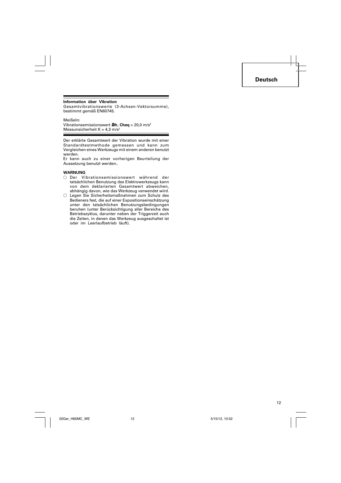**Information über Vibration**

Gesamtvibrationswerte (3-Achsen-Vektorsumme), bestimmt gemäß EN60745.

Meißeln:

Vibrationsemissionswert **ah**, **Cheq** = 20,0 m/s2 Messunsicherheit K =  $4.3 \text{ m/s}^2$ 

Der erklärte Gesamtwert der Vibration wurde mit einer Standardtestmethode gemessen und kann zum Vergleichen eines Werkzeugs mit einem anderen benutzt werden.

Er kann auch zu einer vorherigen Beurteilung der Aussetzung benutzt werden..

# **WARNUNG**

- Der Vibrationsemissionswert während der tatsächlichen Benutzung des Elektrowerkzeugs kann von dem deklarierten Gesamtwert abweichen, abhängig davon, wie das Werkzeug verwendet wird.
- Legen Sie Sicherheitsmaßnahmen zum Schutz des Bedieners fest, die auf einer Expositionseinschätzung unter den tatsächlichen Benutzungsbedingungen beruhen (unter Berücksichtigung aller Bereiche des Betriebszyklus, darunter neben der Triggerzeit auch die Zeiten, in denen das Werkzeug ausgeschaltet ist oder im Leerlaufbetrieb läuft).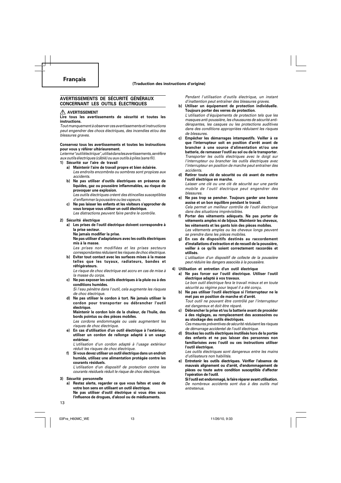# **AVERTISSEMENTS DE SÉCURITÉ GÉNÉRAUX CONCERNANT LES OUTILS ÉLECTRIQUES**

#### **AVERTISSEMENT**

#### **Lire tous les avertissements de sécurité et toutes les instructions.**

Tout manquement à observer ces avertissements et instructions peut engendrer des chocs électriques, des incendies et/ou des blessures graves.

#### **Conservez tous les avertissements et toutes les instructions pour vous y référer ultérieurement.**

Le terme "outil électrique", utilisé dans les avertissements, se réfère aux outils électriques (câblé) ou aux outils à piles (sans fil).

- **1) Sécurité sur l'aire de travail**
	- **a) Maintenir l'aire de travail propre et bien éclairée.** Les endroits encombrés ou sombres sont propices aux accidents.
	- **b) Ne pas utiliser d'outils électriques en présence de liquides, gaz ou poussière inflammables, au risque de provoquer une explosion.**

Les outils électriques créent des étincelles susceptibles d'enflammer la poussière ou les vapeurs.

**c) Ne pas laisser les enfants et les visiteurs s'approcher de vous lorsque vous utiliser un outil électrique.** Les distractions peuvent faire perdre le contrôle.

#### **2) Sécurité électrique**

**a) Les prises de l'outil électrique doivent correspondre à la prise secteur.**

**Ne jamais modifier la prise.**

**Ne pas utiliser d'adaptateurs avec les outils électriques mis à la masse.**

Les prises non modifiées et les prises secteurs correspondantes réduisent les risques de choc électrique.

**b) Eviter tout contact avec les surfaces mises à la masse telles que les tuyaux, radiateurs, bandes et réfrigérateurs.**

Le risque de choc électrique est accru en cas de mise à la masse du corps.

**c) Ne pas exposer les outils électriques à la pluie ou à des conditions humides.**

Si l'eau pénètre dans l'outil, cela augmente les risques de choc électrique.

**d) Ne pas utiliser le cordon à tort. Ne jamais utiliser le cordon pour transporter ou débrancher l'outil électrique.**

**Maintenir le cordon loin de la chaleur, de l'huile, des bords pointus ou des pièces mobiles.**

Les cordons endommagés ou usés augmentent les risques de choc électrique.

**e) En cas d'utilisation d'un outil électrique à l'extérieur, utiliser un cordon de rallonge adapté à un usage extérieur.**

L'utilisation d'un cordon adapté à l'usage extérieur réduit les risques de choc électrique.

**f) Si vous devez utiliser un outil électrique dans un endroit humide, utilisez une alimentation protégée contre les courants résiduels.**

L'utilisation d'un dispositif de protection contre les courants résiduels réduit le risque de choc électrique.

#### **3) Sécurité personnelle**

**a) Restez alerte, regarder ce que vous faites et usez de votre bon sens en utilisant un outil électrique. Ne pas utiliser d'outil électrique si vous êtes sous l'influence de drogues, d'alcool ou de médicaments.**

Pendant l'utilisation d'outils électrique, un instant d'inattention peut entraîner des blessures graves.

**b) Utiliser un équipement de protection individuelle. Toujours porter des verres de protection.** L'utilisation d'équipements de protection tels que les masques anti-poussière, les chaussures de sécurité antidérapantes, les casques ou les protections auditives dans des conditions appropriées réduisent les risques

de blessures.

- **c) Empêcher les démarrages intempestifs. Veiller à ce que l'interrupteur soit en position d'arrêt avant de brancher à une source d'alimentation et/ou une batterie, de ramasser l'outil au sol ou de le transporter.** Transporter les outils électriques avec le doigt sur l'interrupteur ou brancher les outils électriques avec l'interrupteur en position de marche peut entraîner des accidents.
- **d) Retirer toute clé de sécurité ou clé avant de mettre l'outil électrique en marche.**

Laisser une clé ou une clé de sécurité sur une partie mobile de l'outil électrique peut engendrer des blessures.

- **e) Ne pas trop se pencher. Toujours garder une bonne assise et un bon équilibre pendant le travail.** Cela permet un meilleur contrôle de l'outil électrique dans des situations imprévisibles.
- **f) Porter des vêtements adéquats. Ne pas porter de vêtements amples ni de bijoux. Maintenir les cheveux, les vêtements et les gants loin des pièces mobiles.** Les vêtements amples ou les cheveux longs peuvent se prendre dans les pièces mobiles.
- **g) En cas de dispositifs destinés au raccordement d'installations d'extraction et de recueil de la poussière, veiller à ce qu'ils soient correctement raccordés et utilisés.**

L'utilisation d'un dispositif de collecte de la poussière peut réduire les dangers associés à la poussière.

- **4) Utilisation et entretien d'un outil électrique**
	- **a) Ne pas forcer sur l'outil électrique. Utiliser l'outil électrique adapté à vos travaux.** Le bon outil électrique fera le travail mieux et en toute sécurité au régime pour lequel il a été conçu.
	- **b) Ne pas utiliser l'outil électrique si l'interrupteur ne le met pas en position de marche et d'arrêt.** Tout outil ne pouvant être contrôlé par l'interrupteur est dangereux et doit être réparé.
	- **c) Débrancher la prise et/ou la batterie avant de procéder à des réglages, au remplacement des accessoires ou au stockage des outils électriques.** Ces mesures préventives de sécurité réduisent les risques de démarrage accidentel de l'outil électrique.
	- **d) Stockez les outils électriques inutilisés hors de la portée des enfants et ne pas laisser des personnes non familiarisées avec l'outil ou ces instructions utiliser l'outil électrique.**

Les outils électriques sont dangereux entre les mains d'utilisateurs non habilités.

**e) Entretenir les outils électriques. Vérifier l'absence de mauvais alignement ou d'arrêt, d'endommagement de pièces ou toute autre condition susceptible d'affecter l'opération de l'outil.**

**Si l'outil est endommagé, le faire réparer avant utilisation.** De nombreux accidents sont dus à des outils mal entretenus.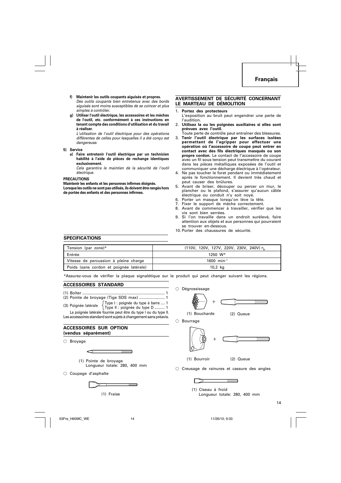- **f) Maintenir les outils coupants aiguisés et propres.** Des outils coupants bien entretenus avec des bords aiguisés sont moins susceptibles de se coincer et plus simples à contrôler.
- **g) Utiliser l'outil électrique, les accessoires et les mèches de l'outil, etc. conformément à ces instructions en tenant compte des conditions d'utilisation et du travail à réaliser.**

L'utilisation de l'outil électrique pour des opérations différentes de celles pour lesquelles il a été concu est dangereuse.

#### **5) Service**

**a) Faire entretenir l'outil électrique par un technicien habilité à l'aide de pièces de rechange identiques exclusivement.**

Cela garantira le maintien de la sécurité de l'outil électrique.

#### **PRECAUTIONS**

**Maintenir les enfants et les personnes infirmes éloignés. Lorsque les outils ne sont pas utilisés, ils doivent être rangés hors de portée des enfants et des personnes infirmes.**

### **AVERTISSEMENT DE SÉCURITÉ CONCERNANT LE MARTEAU DE DÉMOLITION**

- 1. **Portez des protecteurs** L'exposition au bruit peut engendrer une perte de l'audition.
- 2. **Utilisez la ou les poignées auxiliaires si elles sont prévues avec l'outil.**
- Toute perte de contrôle peut entraîner des blessures. 3. **Tenir l'outil électrique par les surfaces isolées**
- **permettant de l'agripper pour effectuer une opération où l'accessoire de coupe peut entrer en contact avec des fils électriques masqués ou son propre cordon.** Le contact de l'accessoire de coupe avec un fil sous tension peut transmettre du courant dans les pièces métalliques exposées de l'outil et communiquer une décharge électrique à l'opérateur.
- 4. Ne pas toucher le foret pendant ou immédiatement après le fonctionnement. Il devient très chaud et peut causer des brûlures.
- 5. Avant de briser, découper ou percer un mur, le plancher ou le plafond, s'assurer qu'aucun câble électrique ou conduit n'y soit noyé.
- 6. Porter un masque lorsqu'on lève la tête.
- 7. Fixer le support de mèche correctement.
- 8. Avant de commencer à travailler, vérifier que les vis sont bien serrées.
- 9. Si l'on travaille dans un endroit surélevé, faire attention aux objets et aux personnes qui pourraient se trouver en-dessous.
- 10. Porter des chaussures de sécurité.

# **SPECIFICATIONS**

| Tension (par zone)*                     | $(110V, 120V, 127V, 220V, 230V, 240V) \cap$ |
|-----------------------------------------|---------------------------------------------|
| Entrée                                  | 1250 W*                                     |
| Vitesse de percussion à pleine charge   | $1600$ min <sup>-1</sup>                    |
| Poids (sans cordon et poignée latérale) | $10,2$ kg                                   |

\*Assurez-vous de vérifier la plaque signalétique sur le produit qui peut changer suivant les régions.

# **ACCESSOIRES STANDARD**

- (1) Boîter .......................................................................... 1
- (2) Pointe de broyage (Tige SDS max) ....................... 1
- (3) Poignée latérale Type I : poignée du type à barre .... 1 Type II : poignée du type D .......... 1
- La poignée latérale fournie peut être du type I ou du type II.

Les accessoires standard sont sujets à changement sans préavis.

# **ACCESSOIRES SUR OPTION (vendus séparément)**

Broyage

- (1) Pointe de broyage Longueur totale: 280, 400 mm
- Coupage d'asphalte





O Dégrossissage



(1) Boucharde (2) Queue

Bourrage



- (1) Bourroir (2) Queue
- Creusage de rainures et cassure des angles



(1) Ciseau à froid Longueur totale: 280, 400 mm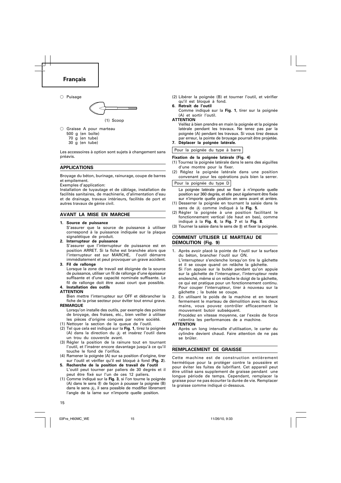$\bigcirc$  Puisage



(1) Scoop

Graisse A pour marteau

500 g (en boîte)

70 g (en tube)

30 g (en tube)

Les accessoires à option sont sujets à changement sans préavis.

# **APPLICATIONS**

Broyage du béton, burinage, rainurage, coupe de barres et empilement.

Exemples d'application:

Installation de tuyautage et de câblage, installation de facilités sanitaires, de machinerie, d'alimentation d'eau et de drainage, travaux intérieurs, facilités de port et autres travaux de génie civil.

# **AVANT LA MISE EN MARCHE**

**1. Source de puissance**

S'assurer que la source de puissance à utiliser correspond à la puissance indiquée sur la plaque signalétique de produit.

#### **2. Interrupteur de puissance**

S'assurer que l'interrupteur de puissance est en position ARRET. Si la fiche est branchée alors que l'interrupteur est sur MARCHE, l'outil démarre immédiatement et peut provoquer un grave accident.

#### **3. Fil de rallonge**

Lorsque la zone de travail est éloignée de la source de puissance, utiliser un fil de rallonge d'une épaisseur suffisante et d'une capacité nominale suffisante. Le fil de rallonge doit être aussi court que possible.

#### **4. Installation des outils**

#### **ATTENTION**

Bien mettre l'interrupteur sur OFF et débrancher la fiche de la prise secteur pour éviter tout ennui grave.

# **REMARQUE**

Lorsqu'on installe des outils, par exemple des pointes de broyage, des fraises, etc., bien veiller à utiliser les pièces d'origine conçues par notre société.

- (1) Nettoyer la section de la queue de l'outil.
- (2) Tel que cela est indiqué sur la **Fig. 1**, tirez la poignée (A) dans la direction du  $(A)$  et insérez l'outil dans un trou du couvercle avant.
- (3) Régler la position de la rainure tout en tournant l'outil, et l'insérer encore davantage jusqu'à ce qu'il touche le fond de l'orifice.

(4) Ramener la poignée (A) sur sa position d'origine, tirer sur l'outil et vérifier qu'il est bloqué à fond (**Fig. 2**).

- **5. Recherche de la position de travail de l'outil** L'outil peut tourner par paliers de 30 degrés et il peut être fixé sur l'un de ces 12 paliers.
- (1) Comme indiqué sur la **Fig. 3**, si l'on tourne la poignée (A) dans le sens ® de façon à pousser la poignée (B) dans le sens (A), il sera possible de modifier librement l'angle de la lame sur n'importe quelle position.

(2) Libérer la poignée (B) et tourner l'outil, et vérifier qu'il est bloqué à fond.

#### **6. Retrait de l'outil**

Comme indiqué sur la **Fig. 1**, tirer sur la poignée (A) et sortir l'outil.

### **ATTENTION**

Veillez à bien prendre en main la poignée et la poignée latérale pendant les travaux. Ne tenez pas par la poignée (A) pendant les travaux. Si vous tirez dessus par erreur, la pointe de broyage pourrait être projetée.

# **7. Déplacer la poignée latérale.**

Pour la poignée du type à barre

#### **Fixation de la poignée latérale (Fig. 4)**

- (1) Tournez la poignée latérale dans le sens des aiguilles d'une montre pour la fixer.
- (2) Réglez la poignée latérale dans une position convenant pour les opérations puis bien la serrer.

#### Pour la poignée du type D

La poignée latérale peut se fixer à n'importe quelle position sur 360 degrés, et elle peut également être fixée sur n'importe quelle position en sens avant et arrière.

- (1) Desserrer la poignée en tournant la saisie dans le sens de A comme indiqué à la **Fig. 5**.
- (2) Régler la poignée à une position facilitant le fonctionnement vertical (de haut en bas), comme indiqué à la **Fig. 6**, la **Fig. 7** et la **Fig. 8**.
- (3) Tourner la saisie dans le sens de ® et fixer la poignée.

# **COMMENT UTILISER LE MARTEAU DE DEMOLITION (Fig. 9)**

1. Après avoir placé la pointe de l'outil sur la surface du béton, brancher l'outil sur ON.

L'interrupteur s'enclenche lorsqu'on tire la gâchette et il se coupe quand on relâche la gâchette.

Si l'on appuie sur la butée pendant qu'on appuie sur la gâchette de l'interrupteur, l'interrupteur reste enclenché, même si on relâche le doigt de la gâchette, ce qui est pratique pour un fonctionnement continu. Pour couper l'interrupteur, tirer à nouveau sur la gâchette ; la butée se coupe.

2. En utilisant le poids de la machine et en tenant fermement le marteau de démolition avec les deux mains, vous pouvez contrôler efficacement le mouvement butoir subséquent.

Procédez en vitesse moyenne, car l'excès de force ralentira les performances de a machine.

#### **ATTENTION**

Après un long intervalle d'utilisation, le carter du cylindre devient chaud. Faire attention de ne pas se brûler.

# **REMPLACEMENT DE GRAISSE**

Cette machine est de construction entièrement hermétique pour la protéger contre la poussière et pour éviter les fuites de lubrifiant. Cet appareil peut être utilisé sans supplement de graisse pendant une longue période de temps. Cependant, remplacer la graisse pour ne pas écourter la durée de vie. Remplacer la graisse comme indiqué ci-dessous.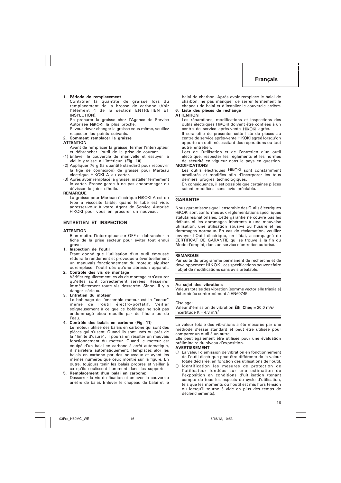#### **1. Période de remplacement**

Contrôler la quantité de graisse lors du remplacement de la brosse de carbone (Voir l'élément 4 de la section ENTRETIEN ET INSPECTION).

Se procurer la graisse chez l'Agence de Service Autorisée HiKOKI la plus proche.

Si vous devez changer la graisse vous-même, veuillez respecter les points suivants.

#### **2. Comment remplacer la graisse**

#### **ATTENTION**

Avant de remplacer la graisse, fermer l'interrupteur et débrancher l'outil de la prise de courant.

- (1) Enlever le couvercle de manivelle et essuyer la vieille graisse à l'intérieur. (**Fig. 10**)
- (2) Appliquer 76 g (la quantité standard pour recouvrir la tige de connexion) de graisse pour Marteau électrique HiKOKI A au carter.
- (3) Après avoir remplacé la graisse, installer fermement le carter. Prenez garde à ne pas endommager ou dévisser le joint d'huile.

### **REMARQUE**

La graisse pour Marteau électrique HiKOKI A est du type à viscosité faible; quand le tube est vide, adressez-vouz à votre Agent de Service Autorisé HiKOKI pour vous en procurer un nouveau.

#### **ENTRETIEN ET INSPECTION**

#### **ATTENTION**

Bien mettre l'interrupteur sur OFF et débrancher la fiche de la prise secteur pour éviter tout ennui grave.

**1. Inspection de l'outil**

Etant donné que l'utilisation d'un outil émoussé réduira le rendement et provoquera éventuellement un manuvais fonctionnement du moteur, aiguiser ouremplacer l'outil dès qu'une abrasion apparaît.

**2. Contrôle des vis de montage**

Vérifier régulièrement les vis de montage et s'assurer qu'elles sont correctement serrées. Resserrer immédiatement toute vis desserrée. Sinon, il y a danger sérieux.

#### **3. Entretien du moteur**

Le bobinage de l'ensemble moteur est le "coeur" même de l'outil électro-portatif. Veiller soigneusement à ce que ce bobinage ne soit pas endommagé et/ou mouillé par de l'huile ou de l'eau.

#### **4. Contrôle des balais en carbone (Fig. 11)**

Le moteur utilise des balais en carbone qui sont des pièces qui s'usent. Quand ils sont usés ou près de la "limite d'usure", il pourra en résulter un mauvais fonctionnement du moteur. Quand le moteur est équipé d'un balai en carbone à arrêt automatique, il s'arrêtera automatiquement. Remplacez alor les balais en carbone par des nouveaux et ayant les mêmes numéros que ceux montré sur la figure. En outre, toujours tenir les balais propres et veiller à ce qu'ils coulissent librement dans les supports.

#### **5. Remplacement d'un balai en carbone:** Desserrer la vis de fixation et enlever le couvercle arrière de balai. Enlever le chapeau de balai et le

balai de charbon. Après avoir remplacé le balai de charbon, ne pas manquer de serrer fermement le chapeau de balai et d'installer le couvercle arrière.

#### **6. Liste des pièces de rechange ATTENTION**

Les réparations, modifications et inspections des outils électriques HiKOKI doivent être confiées à un centre de service après-vente HiKOKI agréé.

Il sera utile de présenter cette liste de pièces au centre de service après-vente HiKOKI agréé lorsqu'on apporte un outil nécessitant des réparations ou tout autre entretien.

Lors de l'utilisation et de l'entretien d'un outil électrique, respecter les règlements et les normes de sécurité en vigueur dans le pays en question.

### **MODIFICATIONS**

Les outils électriques HiKOKI sont constamment améliorés et modifiés afin d'incorporer les tous derniers progrès technologiques.

En conséquence, il est possible que certaines pièces soient modifiées sans avis préalable.

#### **GARANTIE**

Nous garantissons que l'ensemble des Outils électriques HiKOKI sont conformes aux réglementations spécifiques statutaires/nationales. Cette garantie ne couvre pas les défauts ni les dommages inhérents à une mauvaise utilisation, une utilisation abusive ou l'usure et les dommages normaux. En cas de réclamation, veuillez envoyer l'Outil électrique, en l'état, accompagné du CERTIFICAT DE GARANTIE qui se trouve à la fin du Mode d'emploi, dans un service d'entretien autorisé.

#### **REMARQUE**

Par suite du programme permanent de recherche et de développement HiKOKI, ces spécifications peuvent faire l'objet de modifications sans avis préalable.

#### **Au sujet des vibrations**

Valeurs totales des vibration (somme vectorielle triaxiale) déterminée conformément à EN60745.

Ciselage: Valeur d'émission de vibration **ah**, **Cheq** = 20,0 m/s2 Incertitude  $K = 4.3$  m/s<sup>2</sup>

La valeur totale des vibrations a été mesurée par une méthode d'essai standard et peut être utilisée pour comparer un outil à un autre.

Elle peut également être utilisée pour une évaluation préliminaire du niveau d'exposition.

#### **AVERTISSEMENT**

- La valeur d'émission de vibration en fonctionnement de l'outil électrique peut être différente de la valeur totale déclarée, en fonction des utilisations de l'outil.
- Identification les mesures de protection de l'utilisateur fondées sur une estimation de l'exposition en conditions d'uitilisation (tenant compte de tous les aspects du cycle d'utilisation, tels que les moments où l'outil est mis hors tension ou lorsqu'il tourne à vide en plus des temps de déclenchements).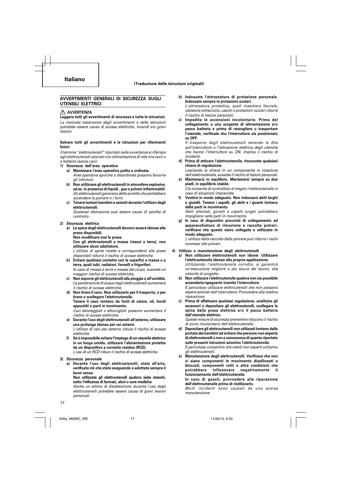#### **AVVERTIMENTI GENERALI DI SICUREZZA SUGLI UTENSILI ELETTRICI**

# **AVVERTENZA**

#### **Leggere tutti gli avvertimenti di sicurezza e tutte le istruzioni.**

La mancata osservanza degli avvertimenti e delle istruzioni potrebbe essere causa di scosse elettriche, incendi e/o gravi lesioni.

#### **Salvare tutti gli avvertimenti e le istruzioni per riferimenti futuri.**

Il termine "elettroutensili" riportato nelle avvertenze si riferisce agli elettroutensili azionati con alimentazione di rete (via cavi) o a batterie (senza cavi).

- **1) Sicurezza dell'area operativa**
	- **a) Mantenere l'area operativa pulita e ordinata.** Aree operative sporche o disordinate possono favorire gli infortuni.
	- **b) Non utilizzare gli elettroutensili in atmosfere esplosive, ad es. in presenza di liquidi , gas o polveri infiammabili.** Gli elettroutensili generano delle scintille che potrebbero accendere la polvere o i fumi.
	- **c) Tenere lontani bambini e astanti durante l'utilizzo degli elettroutensili.**

Qualsiasi distrazione può essere causa di perdita di controllo.

#### **2) Sicurezza elettrica**

**a) Le spine degli elettroutensili devono essere idonee alle prese disponibili.**

**Non modificare mai le prese.**

**Con gli elettroutensili a massa (messi a terra), non utilizzare alcun adattatore.**

L'utilizzo di spine intatte e corrispondenti alle prese disponibili ridurrà il rischio di scosse elettriche.

- **b) Evitare qualsiasi contatto con le superfici a massa o a terra, quali tubi, radiatori, fornelli e frigoriferi.** In caso di messa a terra o massa del corpo, sussiste un maggior rischio di scosse elettriche.
- **c) Non esporre gli elettroutensili alla pioggia o all'umidità.** La penetrazione di acqua negli elettroutensili aumenterà il rischio di scosse elettriche.
- **d) Non tirare il cavo. Non utilizzarlo per il trasporto, o per tirare o scollegare l'elettroutensile.**

**Tenere il cavo lontano da fonti di calore, oli, bordi appuntiti o parti in movimento.**

Cavi danneggiati o attorcigliati possono aumentare il rischio di scosse elettriche.

- **e) Durante l'uso degli elettroutensili all'esterno, utilizzare una prolunga idonea per usi esterni.** L'utilizzo di cavi per esterno riduce il rischio di scosse elettriche.
- **f) Se è impossibile evitare l'impiego di un utensile elettrico in un luogo umido, utilizzare l'alimentazione protetta da un dispositivo a corrente residua (RCD).** L'uso di un RCD riduce il rischio di scosse elettriche.
- **3) Sicurezza personale**
	- **a) Durante l'uso degli elettroutensili, state all'erta, verificate ciò che state eseguendo e adottate sempre il buon senso.**

**Non utilizzate gli elettroutensili qualora siate stanchi, sotto l'influenza di farmaci, alcol o cure mediche.**

Anche un attimo di disattenzione durante l'uso degli elettroutensili potrebbe essere causa di gravi lesioni personali.

**b) Indossate l'attrezzatura di protezione personale. Indossate sempre le protezioni oculari.** L'attrezzatura protettiva, quali maschera facciale,

calzature antiscivolo, caschi o protezioni oculari ridurrà il rischio di lesioni personali.

**c) Impedite le accensioni involontarie. Prima del collegamento a una sorgente di alimentazione e/o pacco batteria e prima di raccogliere o trasportare l'utensile, verificate che l'interruttore sia posizionato su OFF.**

Il trasporto degli elettroutensili tenendo le dita sull'interruttore o l'attivazione elettrica degli utensile che hanno l'interruttore su ON, implica il rischio di incidenti.

**d) Prima di attivare l'elettroutensile, rimuovete qualsiasi chiave di regolazione.**

Lasciando la chiave in un componente in rotazione dell'elettroutensile, sussiste il rischio di lesioni personali.

- **e) Mantenersi in equilibrio. Mantenersi sempre su due piedi, in equilibrio stabile.** Ciò consente di controllare al meglio l'elettroutensile in caso di situazioni impreviste.
- **f) Vestirsi in modo adeguato. Non indossare abiti larghi o gioielli. Tenere i capelli, gli abiti e i guanti lontano dalle parti in movimento.**

Abiti allentati, gioielli e capelli lunghi potrebbero impigliarsi nelle parti in movimento.

**g) In caso di dispositivi provvisti di collegamento ad apparecchiature di rimozione e raccolta polveri, verificare che queste siano collegate e utilizzate in modo adeguato.**

L'utilizzo della raccolta della polvere può ridurre i rischi connessi alle polveri.

#### **4) Utilizzo e manutenzione degli elettroutensili**

- **a) Non utilizzare elettroutensili non idonei. Utilizzare l'elettroutensile idoneo alla propria applicazione.** Utilizzando l'elettroutensile corretto, si garantirà un'esecuzione migliore e più sicura del lavoro, alla velocità di progetto.
- **b) Non utilizzare l'elettroutensile qualora non sia possibile accenderlo/spegnerlo tramite l'interruttore.**

É pericoloso utilizzare elettroutensili che non possano essere azionati dall'interruttore. Provvedere alla relativa riparazione.

**c) Prima di effettuare qualsiasi regolazione, sostituire gli accessori o depositare gli elettroutensili, scollegare la spina dalla presa elettrica e/o il pacco batteria dall'utensile elettrico.**

Queste misure di sicurezza preventive riducono il rischio di avvio involontario dell'elettroutensile.

**d) Depositare gli elettroutensili non utilizzati lontano dalla portata dei bambini ed evitare che persone non esperte di elettroutensili o non a conoscenza di quanto riportato sulle presenti istruzioni azionino l'elettroutensile.**

É pericoloso consentire che utenti non esperti utilizzino gli elettroutensili.

**e) Manutenzione degli elettroutensili. Verificare che non vi siano componenti in movimento disallineati o bloccati, componenti rotti o altre condizioni che potrebbero influenzare negativamente il funzionamento dell'elettroutensile.**

**In caso di guasti, provvedere alla riparazione dell'elettroutensile prima di riutilizzarlo.**

Molti incidenti sono causati da una scarsa manutenzione.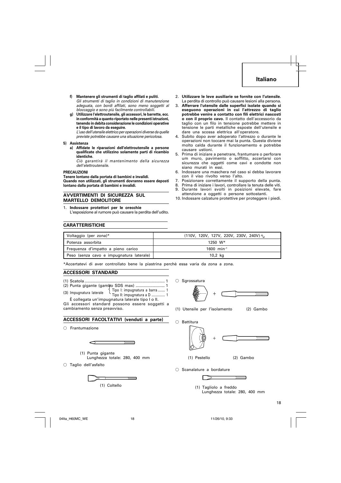- **f) Mantenere gli strumenti di taglio affilati e puliti.** Gli strumenti di taglio in condizioni di manutenzione adeguata, con bordi affilati, sono meno soggetti al bloccaggio e sono più facilmente controllabili.
- **g) Utilizzare l'elettroutensile, gli accessori, le barrette, ecc. in conformità a quanto riportato nelle presenti istruzioni, tenendo in debita considerazione le condizioni operative e il tipo di lavoro da eseguire.**

L'uso dell'utensile elettrico per operazioni diverse da quelle previste potrebbe causare una situazione pericolosa.

#### **5) Assistenza**

**a) Affidate le riparazioni dell'elettroutensile a persone qualificate che utilizzino solamente parti di ricambio identiche.**

Ciò garantirà il mantenimento della sicurezza dell'elettroutensile.

#### **PRECAUZIONI**

**Tenere lontano dalla portata di bambini e invalidi. Quando non utilizzati, gli strumenti dovranno essere deposti lontano dalla portata di bambini e invalidi.**

# **AVVERTIMENTI DI SICUREZZA SUL MARTELLO DEMOLITORE**

1. **Indossare protettori per le orecchie** L'esposizione al rumore può causare la perdita dell'udito.

- 2. **Utilizzare le leve ausiliarie se fornite con l'utensile.** La perdita di controllo può causare lesioni alla persona.
- 3. **Afferrare l'utensile dalle superfici isolate quando si eseguono operazioni in cui l'attrezzo di taglio potrebbe venire a contatto con fili elettrici nascosti o con il proprio cavo.** Il contatto dell'accessorio da taglio con un filo in tensione potrebbe mettere in tensione le parti metalliche esposte dell'utensile e dare una scossa elettrica all'operatore.
- 4. Subito dopo aver adoperato l'attrezzo o durante le operazioni non toccare mai la punta. Questa diviene molto calda durante il funzionamento e potrebbe causare ustioni.
- 5. Prima di iniziare a penetrare, frantumare o perforare um muro, pavimento o soffitto, accertarsi con sicurezza che oggetti come cavi e condotte non siano murati in essi.
- 6. Indossare una maschera nel caso si debba lavorare con il viso rivolto verso l'alto.
- 7. Posizionare correttamente il supporto della punta.
- 8. Prima di iniziare i lavori, controllare la tenuta delle viti.
- 9. Durante lavori svolti in posizioni elevate, fare attenzione a oggetti o persone sottostanti.
- 10. Indossare calzature protettive per proteggere i piedi.

### **CARATTERISTICHE**

| Voltaggio (per zona)*                    | (110V, 120V, 127V, 220V, 230V, 240V) |
|------------------------------------------|--------------------------------------|
| Potenza assorbita                        | 1250 W*                              |
| Frequenza d'impatto a pieno carico       | $1600$ min <sup>-1</sup>             |
| Peso (senza cavo e impugnatura laterale) | $10,2$ kg                            |

\*Accertatevi di aver controllato bene la piastrina perchè essa varia da zona a zona.

# **ACCESSORI STANDARD**

- (1) Scatola ........................................................................ 1
- (2) Punta gigante (gambo SDS max) .......................... 1
- (3) Impugnatura laterale Tipo I: impugnatura a barra ........ 1 Tipo II: impugnatura a D ............... 1
- 

È collegata un'impugnatura laterale tipo I o II. Gli accessori standard possono essere soggetti a cambiamento senza preavviso.

# **ACCESSORI FACOLTATIVI (venduti a parte)**

 $\bigcirc$  Frantumazione

- (1) Punta gigante Lunghezza totale: 280, 400 mm
- Taglio dell'asfalto



(1) Coltello

 $\bigcirc$  Sgrossatura



(1) Utensile per l'isolamento (2) Gambo

○ Battitura



(1) Pestello (2) Gambo

 $\bigcirc$  Scanalature a bordature



(1) Tagliolo a freddo Lunghezza totale: 280, 400 mm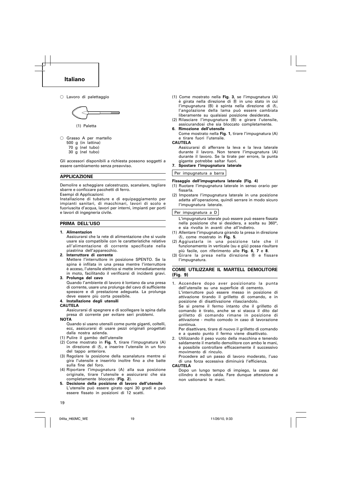# **Italiano**

Lavoro di palettaggio



(1) Paletta

 Grasso A per martello 500 g (in lattina) 70 g (nel tubo) 30 g (nel tubo)

Gli accessori disponibili a richiesta possono soggetti a essere cambiamento senza preavviso.

# **APPLICAZIONE**

Demolire e scheggiare calcestruzzo, scanalare, tagliare sbarre e conficcare pacchetti di ferro.

Esempi di Applicazioni:

Installazione di tubature e di equipaggiamento per impianti sanitari, di macchinari, lavori di scolo e fuoriuscita d'acqua, lavori per interni, impianti per porti e lavori di ingegneria civile.

# **PRIMA DELL'USO**

**1. Alimentazion**

Assicurarsi che la rete di alimentazione che si vuole usare sia compatibile con le caratteristiche relative all'alimentazione di corrente specificate nella piastrina dell'apparecchio.

**2. Interruttore di corrente**

Mettere l'interruttore in posizione SPENTO. Se la spina è infilata in una presa mentre l'interruttore è acceso, l'utensile elettrico si mette immediatamente in moto, facilitando il verificarsi di incidenti gravi.

**3. Prolunga del cavo**

Quando l'ambiente di lavoro è lontano da una presa di corrente, usare una prolunga del cavo di sufficiente spessore e di prestazione adeguata. La prolunga deve essere più corta possibile.

# **4. Installazione degli utensili**

# **CAUTELA**

Assicurarsi di spegnere e di scollegare la spina dalla presa di corrente per evitare seri problemi.

# **NOTA**

Quando si usano utensili come punte giganti, coltelli, ecc, assicurarsi di usare pezzi originali progettati dalla nostra azienda.

- (1) Pulire il gambo dell'utensile
- (2) Come mostrato in **Fig. 1**, tirare l'impugnatura (A) in direzione di A, e inserire l'utensile in un foro del tappo anteriore.
- (3) Regolare la posizione della scanalatura mentre si gira l'utensile e inserirlo inoltre fino a che batte sulla fine del foro.
- (4) Riportare l'impugnatura (A) alla sua posizione originale, tirare l'utensile e assicurarsi che sia completamente bloccato (**Fig. 2**).
- **5. Decisione della posizione di lavoro dell'utensile** L'utensile può essere girato ogni 30 gradi e può essere fissato in posizioni di 12 scatti.
- (1) Come mostrato nella **Fig. 3**, se l'impugnatura (A) è girata nella direzione di B in uno stato in cui l'impugnatura (B) è spinta nella direzione di  $\mathcal{A}$ , l'angolazione della lama può essere cambiata liberamente su qualsiasi posizione desiderata.
- (2) Rilasciare l'impugnatura (B) e girare l'utensile, assicurandosi che sia bloccato completamente.
- **6. Rimozione dell'utensile**

Come mostrato nella **Fig. 1**, tirare l'impugnatura (A) e tirare fuori l'utensile.

### **CAUTELA**

Assicurarsi di afferrare la leva e la leva laterale durante il lavoro. Non tenere l'impugnatura (A) durante il lavoro. Se la tirate per errore, la punta gigante potrebbe saltar fuori.

**7. Spostare l'impugnatura laterale**

Per impugnatura a barra

#### **Fissaggio dell'impugnatura laterale (Fig. 4)**

- (1) Ruotare l'impugnatura laterale in senso orario per fissarla.
- (2) Impostare l'impugnatura laterale in una posizione adatta all'operazione, quindi serrare in modo sicuro l'impugnatura laterale.

# Per impugnatura a D

L'impugnatura laterale può essere può essere fissata nella posizione che si desidera, a scelta su 360°, e sia rivolta in avanti che all'indietro.

- (1) Allentare l'impugnatura girando la presa in direzione  $A$ . come mostrato in Fig. 5.
- (2) Aggiustarla in una posizione tale che il funzionamento in verticale (su e giù) possa risultare più facile, con riferimento alle **Fig. 6**, **7** e **8**.
- (3) Girare la presa nella direzione ® e fissare l'impugnatura.

# **COME UTILIZZARE IL MARTELL DEMOLITORE (Fig. 9)**

1. Accendere dopo aver posizionato la punta dell'utensile su una superficie di cemento. L'interruttore può essere messo in posizione di attivazione tirando il grilletto di comando, e in

posizione di disattivazione rilasciandolo. Se si preme il fermo intanto che il grilletto di comando è tirato, anche se si stacca il dito dal grilletto di comando rimane in posizione di

attivazione - molto comodo in caso di lavorazione continua.

Per disattivare, tirare di nuovo il grilletto di comando e a questo punto il fermo viene disattivato.

2. Utilizzando il peso vuoto della macchina e tenendo saldamente il martello demolitore con ambo le mani, è possibile controllare efficacemente il successivo movimento di rinculo.

Procedere ad un passo di lavoro moderato, l'uso di una forza eccessiva diminuirà l'efficienza.

#### **CAUTELA**

Dopo un lungo tempo di impiego, la cassa del cilindro è molto calda. Fare dunque attenzione a non ustionarsi le mani.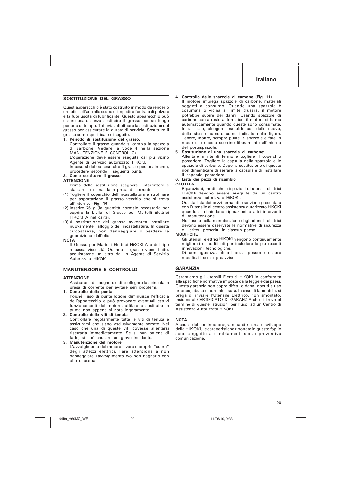# **SOSTITUZIONE DEL GRASSO**

Quest'apparecchio è stato costruito in modo da renderlo ermetico all'aria allo scopo di impedire l'entrata di polvere e la fuoriuscita di lubrificante. Questo apparecchio può essere usato senza sostituire il grasso per un lungo periodo di tempo. Tuttavia, effettuare la sostituzione del grasso per assicurare la durata di servizio. Sostituire il grasso come specificato di seguito.

**1. Periodo di sostituzione del grasso.**

Controllare il grasso quando si cambia la spazzola di carbone (Vedere la voce 4 nella sezione MANUTENZIONE E CONTROLLO).

L'operazione deve essere eseguita dal più vicino Agente di Servizio autorizzato HiKOKI.

In caso si debba sostituire il grasso personalmente, procedere secondo i seguenti punti.

# **2. Come sostituire il grasso**

#### **ATTENZIONE**

Prima della sostituzione spegnere l'interruttore e staccare la spina dalla presa di corrente.

- (1) Togliere il coperchio dell'incastellatura e strofinare per asportazione il grasso vecchio che si trova all'interno. (**Fig. 10**).
- (2) Inserire 76 g (la quantità normale necessaria per coprire la biella) di Grasso per Martelli Elettrici HiKOKI A nel carter.
- (3) A sostituzione del grasso avvenuta installare nuovamente l'alloggio dell'incastellatura. In questa circostanza, non danneggiare o perdere la guarnizione dell'olio.

#### **NOTA**

Il Grasso per Martelli Elettrici HiKOKI A è del tipo a bassa viscosità. Quando il grasso viene finito, acquistatene un altro da un Agente di Servizio Autorizzato HiKOKI.

# **MANUTENZIONE E CONTROLLO**

#### **ATTENZIONE**

Assicurarsi di spegnere e di scollegare la spina dalla presa di corrente per evitare seri problemi.

**1. Controllo della punta**

Poiché l'uso di punte logore diminuisce l'efficacia dell'apparecchio e può provocare eventuali cattivi funzionamenti del motore, affilare o sostituire la punta non appena si nota logoramento.

**2. Controllo delle viti di tenuta**

Controllare regolarmente tutte le viti di tenuta e assicurarsi che siano esclusivamente serrate. Nel caso che una di queste viti dovesse allentarsi riserrarla immediatamente. Se si non ottiene di farlo, si può causare un grave incidente.

#### **3. Manutenzione del motore**

L'avvolgimento del motore il vero e proprio "cuore" degli attezzi elettrici. Fare attenzione a non danneggiare l'avvolgimento e/o non bagnarlo con olio o acqua.

# **4. Controllo delle spazzole di carbone (Fig. 11)**

Il motore impiega spazzole di carbone, materiali soggeti a consumo. Quando una spazzola è cosumata o vicina al limite d'usara, il motore potrebbe subire dei danni. Usando spazzole di carbone con arresto automatico, il motore si ferma automaticamente quando queste sono consumate. In tal caso, bisogna sostituirle con delle nuove, dello stesso numero como indicato nella figura. Tenere, inoltre, sempre pulite le spazzole e fare in modo che questo scorrino liberamente all'interno del portaspazzole.

#### **5. Sostituzione di una spazzola di carbone:**

Allentare a vite di fermo e togliere il coperchio posteriore. Togliere la capsula della spazzola e le spazzole di carbone. Dopo la sostituzione di queste non dimenticare di serrare la capsula e di installare il copercio posteriore.

# **6. Lista dei pezzi di ricambio**

# **CAUTELA**

Riparazioni, modifiche e ispezioni di utensili elettrici HiKOKII devono essere eseguite da un centro assistenza autorizzato HiKOKI.

Questa lista dei pezzi torna utile se viene presentata con l'utensile al centro assistenza autorizzato HiKOKI quando si richiedono riparazioni o altri interventi di manutenzione.

Nell'uso e nella manutenzione degli utensili elettrici devono essere osservate le normative di sicurezza e i criteri prescritti in ciascun paese. male necessaria per<br>
martelli Elettrici quando si irchiedono riparazioni o altri interventi<br>
di manutenzione.<br>
di manutenzione.<br>
di manutenzione.<br>
Mell'uso e nella manutenzione degli utensili elettrici<br>
stellatura. In ques

#### **MODIFICHE**

Gli utensili elettrici HiKOKI vengono continuamente migliorati e modificati per includere le più recenti innovazioni tecnologiche.

Di conseguenza, alcuni pezzi possono essere modificati senza preavviso.

#### **GARANZIA**

Garantiamo gli Utensili Elettrici HiKOKI in conformità alle specifiche normative imposte dalla legge e dai paesi. Questa garanzia non copre difetti o danni dovuti a uso erroneo, abuso o normale usura. In caso di lamentele, si prega di inviare l'Utensile Elettrico, non smontato, insieme al CERTIFICATO DI GARANZIA che si trova al termine di queste Istruzioni per l'uso, ad un Centro di Assistenza Autorizzato HiKOKI.

#### **NOTA**

A causa del continuo programma di ricerca e sviluppo della HiKOKI, le caratteristiche riportate in questo foglio sono soggette a cambiamenti senza preventiva comunicazione.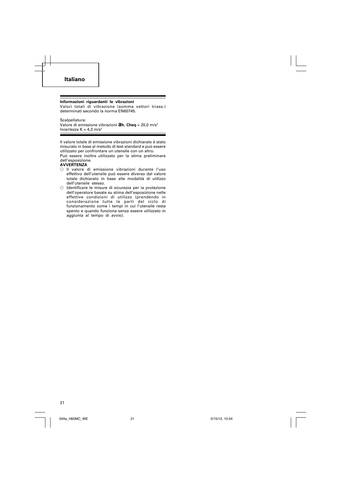#### **Informazioni riguardanti le vibrazioni**

Valori totali di vibrazione (somma vettori triass.) determinati secondo la norma EN60745.

Scalpellatura:

Valore di emissione vibrazioni **ah**, **Cheq** = 20,0 m/s2 Incertezza K =  $4.3 \text{ m/s}^2$ 

Il valore totale di emissione vibrazioni dichiarato è stato misurato in base al metodo di test standard e può essere utilizzato per confrontare un utensile con un altro.

Può essere inoltre utilizzato per la stima preliminare dell'esposizione.

# **AVVERTENZA**

- Il valore di emissione vibrazioni durante l'uso effettivo dell'utensile può essere diverso dal valore totale dichiarato in base alle modalità di utilizzo dell'utensile stesso.
- $\circ$  Identificare le misure di sicurezza per la protezione dell'operatore basate su stima dell'esposizione nelle effettive condizioni di utilizzo (prendendo in considerazione tutte le parti del ciclo di funzionamento come i tempi in cui l'utensile resta spento e quando funziona senza essere utilizzato in aggiunta al tempo di avvio).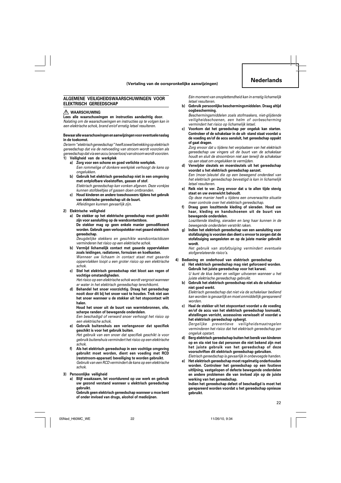# **ALGEMENE VEILIGHEIDSWAARSCHUWINGEN VOOR ELEKTRISCH GEREEDSCHAP**

# **WAARSCHUWING**

**Lees alle waarschuwingen en instructies aandachtig door.** Nalating om de waarschuwingen en instructies op te volgen kan in een elektrische schok, brand en/of ernstig letsel resulteren.

#### **Bewaar alle waarschuwingen en aanwijzingen voor eventuele naslag in de toekomst.**

De term "elektrisch gereedschap" heeft zowel betrekking op elektrisch gereedschap dat via de netvoeding van stroom wordt voorzien als gereedschap dat via een accu (snoerloos) van stroom wordt voorzien.

- **1) Veiligheid van de werkplek**
	- **a) Zorg voor een schone en goed verlichte werkplek.** Een rommelige of donkere werkplek verhoogt de kans op ongelukken.
	- **b) Gebruik het elektrisch gereedschap niet in een omgeving met ontplofbare vloeistoffen, gassen of stof.** Elektrisch gereedschap kan vonken afgeven. Deze vonkjes kunnen stofdeeltjes of gassen doen ontbranden.
	- **c) Houd kinderen en andere toeschouwers tijdens het gebruik van elektrische gereedschap uit de buurt.** Afleidingen kunnen gevaarlijk zijn.

#### **2) Elektrische veiligheid**

**a) De stekker op het elektrische gereedschap moet geschikt zijn voor aansluiting op de wandcontactdoos.**

**De stekker mag op geen enkele manier gemodificeerd worden. Gebruik geen verloopstekker met geaard elektrisch gereedschap.**

Deugdelijke stekkers en geschikte wandcontactdozen verminderen het risico op een elektrische schok.

- **b) Vermijd lichamelijk contact met geaarde oppervlakken zoals leidingen, radiatoren, fornuizen en koelkasten.** Wanneer uw lichaam in contact staat met geaarde oppervlakken loopt u een groter risico op een elektrische schok.
- **c) Stel het elektrisch gereedschap niet bloot aan regen of vochtige omstandigheden.**

Het risico op een elektrische schok wordt vergroot wanneer er water in het elektrisch gereedschap terechtkomt.

**d) Behandel het snoer voorzichtig. Draag het gereedschap nooit door dit bij het snoer vast te houden. Trek niet aan het snoer wanneer u de stekker uit het stopcontact wilt halen.**

**Houd het snoer uit de buurt van warmtebronnen, olie, scherpe randen of bewegende onderdelen.**

Een beschadigd of verward snoer verhoogt het risico op een elektrische schok.

- **e) Gebruik buitenshuis een verlengsnoer dat specifiek geschikt is voor het gebruik buiten.** Het gebruik van een snoer dat specifiek geschikt is voor gebruik buitenshuis vermindert het risico op een elektrische schok.
- **f) Als het elektrisch gereedschap in een vochtige omgeving gebruikt moet worden, dient een voeding met RCD (reststroom-apparaat) beveiliging te worden gebruikt.** Gebruik van een RCD vermindert de kans op een elektrische schok.
- **3) Persoonlijke veiligheid**
	- **a) Blijf waakzaam, let voortdurend op uw werk en gebruik uw gezond verstand wanneer u elektrisch gereedschap gebruikt.**

**Gebruik geen elektrisch gereedschap wanneer u moe bent of onder invloed van drugs, alcohol of medicijnen.**

Eén moment van onoplettendheid kan in ernstig lichamelijk letsel resulteren.

**b) Gebruik persoonlijke beschermingsmiddelen. Draag altijd oogbescherming.**

Beschermingsmiddelen zoals stofmaskers, niet-glijdende veiligheidsschoenen, een helm of oorbescherming vermindert het risico op lichamelijk letsel.

**c) Voorkom dat het gereedschap per ongeluk kan starten. Controleer of de schakelaar in de uit- stand staat voordat u de voeding en/of de accu aansluit, het gereedschap oppakt of gaat dragen.**

Zorg ervoor dat u tijdens het verplaatsen van het elektrisch gereedschap uw vingers uit de buurt van de schakelaar houdt en sluit de stroombron niet aan terwijl de schakelaar op aan staat om ongelukken te vermijden.

- **d) Verwijder sleutels en moersleutels uit het gereedschap voordat u het elektrisch gereedschap aanzet.** Een (moer-)sleutel die op een bewegend onderdeel van het elektrisch gereedschap bevestigd is kan in lichamelijk letsel resulteren.
- **e) Reik niet te ver. Zorg ervoor dat u te allen tijde stevig staat en uw evenwicht behoudt.** Op deze manier heeft u tijdens een onverwachte situatie meer controle over het elektrisch gereedschap.
- **f) Draag geen loszittende kleding of sieraden. Houd uw haar, kleding en handschoenen uit de buurt van bewegende onderdelen.**

Loszittende kleding, sieraden en lang haar kunnen in de bewegende onderdelen verstrikt raken.

**g) Indien het elektrisch gereedschap van een aansluiting voor stofafzuiging is voorzien dan dient u ervoor te zorgen dat de stofafzuiging aangesloten en op de juiste manier gebruikt wordt.**

Het gebruik van stofafzuiging vermindert eventuele stofgerelateerde risico's.

#### **4) Bediening en onderhoud van elektrisch gereedschap**

- **a) Het elektrisch gereedschap mag niet geforceerd worden. Gebruik het juiste gereedschap voor het karwei.** U kunt de klus beter en veiliger uitvoeren wanneer u het juiste elektrische gereedschap gebruikt.
- **b) Gebruik het elektrisch gereedschap niet als de schakelaar niet goed werkt.**

Elektrisch gereedschap dat niet via de schakelaar bediend kan worden is gevaarlijk en moet onmiddellijk gerepareerd worden.

**c) Haal de stekker uit het stopcontact voordat u de voeding en/of de accu van het elektrisch gereedschap losmaakt, afstellingen verricht, accessoires verwisselt of voordat u het elektrisch gereedschap opbergt.**

Dergelijke preventieve veiligheidsmaatregelen verminderen het risico dat het elektrisch gereedschap per ongeluk opstart.

- **d) Berg elektrisch gereedschap buiten het bereik van kinderen op en sta niet toe dat personen die niet bekend zijn met het juiste gebruik van het gereedschap of deze voorschriften dit elektrisch gereedschap gebruiken.** Eletrisch gereedschap is gevaarlijk in onbevoegde handen.
- **e) Het elektrisch gereedschap moet regelmatig onderhouden worden. Controleer het gereedschap op een foutieve uitlijning, vastgelopen of defecte bewegende onderdelen en andere problemen die van invloed zijn op de juiste werking van het gereedschap.**

**Indien het gereedschap defect of beschadigd is moet het gerepareerd worden voordat u het gereedschap opnieuw gebruikt.**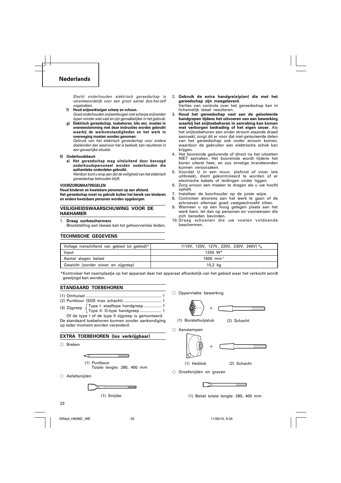# **Nederlands**

Slecht onderhouden elektrisch gereedschap is verantwoordelijk voor een groot aantal doe-het-zelf ongelukken.

- **f) Houd snijwerktuigen scherp en schoon.** Goed onderhouden snijwerktuigen met scherpe snijranden lopen minder snel vast en zijn gemakkelijker in het gebruik.
- **g) Elektrisch gereedschap, toebehoren, bits enz. moeten in overeenstemming met deze instructies worden gebruikt waarbij de werkomstandigheden en het werk in overweging moeten worden genomen.**

Gebruik van het elektrisch gereedschap voor andere doeleinden dan waarvoor het is bedoelt, kan resulteren in een gevaarlijke situatie.

- **5) Onderhoudsbeurt**
	- **a) Het gereedschap mag uitsluitend door bevoegd onderhoudspersoneel worden onderhouden die authentieke onderdelen gebruikt.**

Hierdoor kunt u erop aan dat de veiligheid van het elektrisch gereedschap behouden blijft.

#### **VOORZORGMAATREGELEN**

**Houd kinderen en kwetsbare personen op een afstand. Het gereedschap moet na gebruik buiten het bereik van kinderen en andere kwetsbare personen worden opgeborgen.**

# **VEILIGHEIDSWAARSCHUWING VOOR DE HAKHAMER**

1. **Draag oorbeschermers**

Blootstelling aan lawaai kan tot gehoorverlies leiden.

- 2. **Gebruik de extra handgre(e)p(en) die met het gereedschap zijn meegeleverd.** Verlies van controle over het gereedschap kan in lichamelijk letsel resulteren.
- 3. **Houd het gereedschap vast aan de geïsoleerde handgrepen tijdens het uitvoeren van een bewerking waarbij het snijtoebehoren in aanraking kan komen met verborgen bedrading of het eigen snoer.** Als het snijtoebehoren een onder stroom staande draad aanraakt, zorgt dit er voor dat niet-geïsoleerde delen van het gereedschap ook onder stroom komen, waardoor de gebruiker een elektrische schok kan krijgen.
- 4. Het booreinde gedurende of direct na het uitzetten NIET aanraken. Het booreinde wordt tijdens het boren uiterst heet, en zou ernstige brandwonden kunnen veroorzaken.
- 5. Voordat U in een muur. plafond of vloer iets uitbreekt, dient gekontroleerd te worden of er electrische kabels of leidingen onder liggen.
- 6. Zorg ervoor een masker te dragen als u uw hoofd opheft.
- 7. Installeer de boorhouder op de juiste wijze.
- 8. Controleer alvorens aan het werk te gaan of de
- schroeven allemaal goed vastgeschroefd zitten. 9. Wanneer u op een hoog gelegen plaats aan het werk bent, let dan op personen en voorwerpen die zich beneden bevinden.
- 10. Draag schoenen die uw voeten voldoende baschermen.

# **TECHNISCHE GEGEVENS**

| Voltage (verschillend van gebied tot gebied)* | (110V, 120V, 127V, 220V, 230V, 240V) |
|-----------------------------------------------|--------------------------------------|
| Input                                         | $1250 W*$                            |
| Aantal slagen belast                          | $1600$ min <sup>-1</sup>             |
| Gewicht (zonder snoer en zijgreep)            | $10,2$ kg                            |

\*Kontroleer het naamplaatje op het apparaat daar het apparaat afhankelijk van het gebied waar het verkocht wordt gewijzigd kan worden.

# **STANDAARD TOEBEHOREN**

- (1) Omhulsel .................................................................... 1
- (2) Puntboor (SDS max schacht) .................................. 1 (3) Zijgreep Type I: staaftype handgreep ................ 1
	- Type II: D-type handgreep ................... 1

Of de type I of de type II zijgreep is gemonteerd. De standaard toebehoren kunnen zonder aankondiging op ieder moment worden veranderd.

# **EXTRA TOEBEHOREN (los verkrijgbaar)**

○ Breken

(1) Puntboor Totale lengte: 280, 400 mm

 $\bigcap$  Asfaltsnijden





Aanstampen



(1) Heiblok (2) Schacht

O Oppervlakte bewerking

Groefsnijden en graven

(1) Borstelhulpstuk (2) Schacht



(1) Beitel totale lengte: 280, 400 mm

(1) Snijder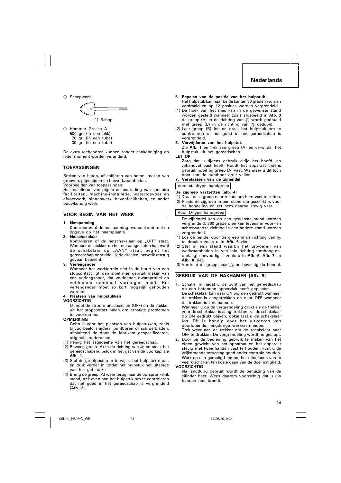$\bigcirc$  Schepwerk

$$
\bigcirc
$$

(1) Schep

○ Hammer Grease A

500 gr. (in een blik)

70 gr. (in een tube)

30 gr. (in een tube)

De extra toebehoren kunnen zonder aankondiging op ieder moment worden veranderd.

# **TOEPASSINGEN**

Breken van beton, afschilferen van beton, maken van groeven, pijpsnijden en heiwerkzaamheden.

Voorbeelden van toepassingen:

Het installeren van pijpen en bedrading van sanitaire faciliteiten, machine-installatie, watertoevoer en afvoerwerk, binnenwerk, havenfaciliteiten, en ander bouwkundig werk.

# **VOOR BEGIN VAN HET WERK**

#### **1. Netspanning**

Kontroleren of de netspanning overeenkomt met de opgave op het naamplaatje.

#### **2. Netschakelaar**

Kontroleren of de netschakelaar op "UIT" staat. Wanneer de stekker op het net aangesloten is, terwijl de schakelaar op "AAN" staat, begint het gereedschap onmiddellijk de draaien, hetwelk ernstig gevaar betekent.

#### **3. Verlengsnoer**

Wanneer het werkterrein niet in de buurt van een stopcontact ligt, dan moet men gebruik maken van een verlengsnoer, dat voldoende dwarsprofiel en voldoende nominaal vermogen heeft. Het verlengsnoer moet zo kort mogelijk gehouden worden.

#### **4. Plaatsen van hulpstukken VOORZICHTIG**

U moet de stroom uitschakelen (OFF) en de stekker uit het stopcontact halen om ernstige problemen te voorkomen.

#### **OPMERKING**

Gebruik voor het plaatsen van hulpstukken, zoals bijvoorbeeld snijders, puntboren of schroefbladen, uitsluitend de door de fabrikant gespecificeerde, originele onderdelen.

- (1) Reinig het asgedeelte van het gereedschap.
- (2) Beweeg greep  $(A)$  in de richting van  $(A)$  en steek het gereedschapshulpstuk in het gat van de voorkap, zie **Afb. 1**.
- (3) Stel de groefpositie in terwijl u het hulpstuk draait en druk verder in totdat het hulpstuk het uiteinde van het gat raakt.
- (4) Breng de greep (A) weer terug naar de oorspronkelijk stand, trek even aan het hulpstuk om te controleren dat het goed in het gereedschap is vergrendeld (**Afb. 2**).
- **5. Bepalen van de positie van het hulpstuk** Het hulpstuk kan naar beide kanten 30 graden worden verdraaid en op 12 posities worden vergrendeld.
- (1) De hoek van het mes kan in de gewenste stand worden gesteld wanneer zoals afgebeeld in **Afb. 3** de greep  $(A)$  in de richting van  $(B)$  wordt gedraaid met greep (B) in de richting van A geduwd.
- (2) Laat greep (B) los en draai het hulpstuk om te controleren of het goed in het gereedschap is vergrendeld.

#### **6. Verwijderen van het hulpstuk**

Zie **Afb. 1** en trek aan greep (A) en verwijder het hulpstuk uit het gereedschap.

#### **LET OP**

Zorg dat u tijdens gebruik altijd het hoofd- en zijhandvat vast heeft. Houdt het apparaat tijdens gebruik nooit bij greep (A) vast. Wanneer u dit toch doet kan de puntboor eruit vallen.

# **7. Verplaatsen van de zijhendel**

Voor staaftype handgreep

#### **De zijgreep vastzetten (afb. 4)**

- (1) Draai de zijgreep naar rechts om hem vast te zetten.
- (2) Plaats de zijgreep in een stand die geschikt is voor de handeling en zet hem daarna stevig vast.

#### Voor D-type handgreep

De zijhendel kan op een gewenste stand worden vergrendeld: 360 graden, en kan tevens in voor- en achterwaartse richting in een andere stand worden vergrendeld.

- (1) Los de hendel door de greep in de richting van  $\mathbb{A}$ te draaien zoals u in **Afb. 5** ziet.
- (2) Stel in een stand waarbij het uitvoeren van werkzaamheden in verticale richting (omhoog-enomlaag) eenvoudig is zoals u in **Afb. 6**, **Afb. 7** en **Afb. 8** ziet.
- (3) Verdraai de greep naar ® en bevestig de hendel.

# **GEBRUIK VAN DE HAKHAMER (Afb. 9)**

1. Schakel in nadat u de punt van het gereedschap op een betonnen oppervlak heeft geplaatst. De schakelaar kan naar ON worden gedrukt wanneer de trekker is aangetrokken en naar OFF wanneer de trekker is ontspannen.

Wanneer u op de vergrendeling drukt als de trekker voor de schakelaar is aangetrokken, zal de schakelaar op ON gedrukt blijven, ookal laat u de schakelaar los. Dit is handig voor het uitvoeren van doorlopende, langdurige werkzaamheden.

Trek weer aan de trekker om de schakelaar naar OFF te drukken. De vergrendeling wordt nu gestopt.

2. Door bij de bediening gebruik te maken van het eigen gewicht van het apparaat en het apparaat stevig met twee handen vast te houden, kunt u de vrijkomende terugslag goed onder controle houden. Werk op een gematigd tempo, het uitoefenen van te veel kracht kan ten koste gaan van de doelmatigheid.

#### **VOORZICHTIG**

Na langdurig gebruik wordt de behuizing van de cilinder heet. Wees daarom voorzichtig dat u uw handen niet brandt.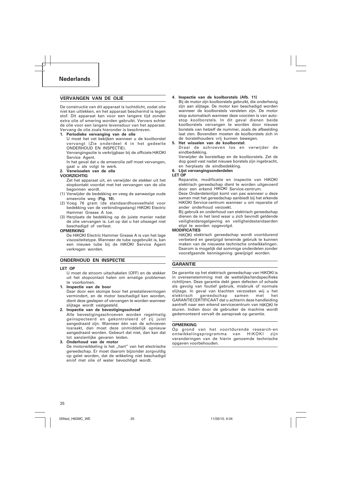# **VERVANGEN VAN DE OLIE**

De constructie van dit apparaat is luchtdicht, zodat olie niet kan uitlekken, en het apparaat beschermd is tegen stof. Dit apparaat kan voor een langere tijd zonder extra olie of smering worden gebruikt. Ververs echter de olie voor een langere levensduur van het apparaat. Vervang de olie zoals hieronder is beschreven.

#### **1. Periodieke vervanging van de olie**

U moet het vet bekijken wanneer u de koolborstel vervangt (Zie onderdeel 4 in het gedeelte ONDERHOUD EN INSPECTIE).

Vervangingsolie is verkrijgbaar bij de officiele HiKOKI Service Agent.

In het geval dat u de smeerolie zelf moet vervangen, gaat u als volgt te werk.

#### **2. Verwisselen van de olie**

#### **VOORZICHTIG**

Zet het apparaat uit, en verwijder de stekker uit het stopkontakt voordat met het vervangen van de olie begonnen wordt.

- (1) Verwijder de bedekking en veeg de aanwezige oude smeerolie weg (**Fig. 10**).
- (2) Voeg 76 gram (de standaardhoeveelheld voor bedekking van de verbindingsstang) HiKOKI Electric Hammer Grease A toe.
- (3) Herplaats de bedekking op de juiste manier nadat de olie vervangen is. Let op dat u het oliezegel niet beschadigd of verliest.

#### **OPMERKING**

De HiKOKI Electric Hammer Grease A is van het lage viscositeitstype. Wanneer de tube opgebruikt is, kan een nieuwe tube bij de HiKOKI Service Agent verkregen worden.

# **ONDERHOUD EN INSPECTIE**

#### **LET OP**

U moet de stroom uitschakelen (OFF) en de stekker uit het stopcontact halen om ernstige problemen te voorkomen.

#### **1. Inspectie van de boor**

Daar door een stompe boor het prestatievermogen vermindert, en de motor beschadigd kan worden, dient deze geslepen of vervangen te worden wanneer slijtage wordt vastgesteld.

#### **2. Inspectie van de bevestigingsschroef**

Alle bevestigingsschroeven worden regelmatig geinspecteerd en gekontroleerd of zij juist aangedraaid zijn. Wanneer één van de schroeven losraakt, dan moet deze onmiddellijk opnieuw aangedraaid worden. Gebeurt dat niet, dan kan dat tot aanzienlijke gevaren leiden.

### **3. Onderhoud van de motor**

De motorwikkeling is het "hart" van het electrische gereedschap. Er moet daarom bijzonder zorgvuldig op gelet worden, dat de wikkeling niet beschadigd en/of met olie of water bevochtigd wordt.

#### **4. Inspectie van de koolborstels (Afb. 11)**

Bij de motor zijn koolborstels gebruikt, die onderhevig zijn aan slijtage. De motor kan beschadigd worden wanneer de koolborstels versleten zijn. De motor stop automatisch wanneer deze voorzien is van autostop koolborstels. In dit geval dienen beide koolborstels vervangen te worden door nieuwe borstels van hetzelf de nummer, zoals de afbeelding laat zien. Bovendien moeten de koolborstels zich in de borstelhouders vrij kunnen bewegen.

#### **5. Het wisselen van de koolborstel:**

Draai de schroeven los en verwijder de eindbedekking.

Verwijder de borstelkap en de koolborstels. Zet de dop goed vast nadat nieuwe borstels zijn ingebracht, en herplaats de eindbedekking.

**6. Lijst vervangingsonderdelen**

#### **LET OP**

Reparatie, modificatie en inspectie van HiKOKI elektrisch gereedschap dient te worden uitgevoerd door een erkend HiKOKI Service-centrum.

Deze Onderdelenlijst komt van pas wanneer u deze samen met het gereedschap aanbiedt bij het erkende HiKOKI Service-centrum wanneer u om reparatie of ander onderhoud verzoekt.

Bij gebruik en onderhoud van elektrisch gereedschap dienen de in het land waar u zich bevindt geldende veiligheidsregelgeving en veiligheidsstandaarden stipt te worden opgevolgd. het apparaat uit, en verwijder de stekker uit het<br>
plentatie, modificatie en inspectie van HKOKI<br>
plennen wordt.<br>
somen wordt.<br>
plennen wordt.<br>
plennen wordt.<br>
expectie to door een erkend HKOKI Service-centrum.<br>
wijder de

# **MODIFICATIES**

HiKOKI elektrisch gereedschap wordt voortdurend verbeterd en gewijzigd teneinde gebruik te kunnen maken van de nieuwste technische ontwikkelingen. Daarom is mogelijk dat sommige onderdelen zonder voorafgaande kennisgeving gewijzigd worden. HiKOKI<br>
eindeelektrige einder de borstelkap en de koolborstels. Zet<br>
dop goed vast nadat nieuwe borstels zijn ingebraci<br>
en herplaats de eindbedekking.<br> **ET OP**<br>
uit het<br>
Reparatie, modificatie en inspectie van HiKO<br>
de ol

# **GARANTIE**

De garantie op het elektrisch gereedschap van HiKOKI is in overeenstemming met de wettelijke/landspecifieke richtlijnen. Deze garantie dekt geen defecten of schade als gevolg van foutief gebruik, misbruik of normale slijtage. In geval van klachten verzoeken wij u het<br>elektrisch gereedschap samen met het gereedschap samen met het GARANTIECERTIFICAAT dat u achterin deze handleiding aantreft naar een erkend servicecentrum van HiKOKI te sturen. Indien door de gebruiker de machine wordt gedemonteerd vervalt de aanspraak op garantie.

#### **OPMERKING**

Op grond van het voortdurende research-en ontwikkelingsprogramma van HiKOKI zijn veranderingen van de hierin genoemde technische opgaven voorbehouden.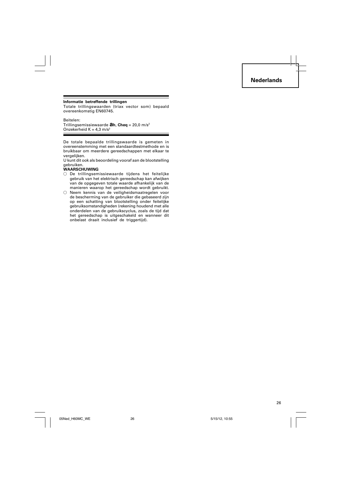# **Nederlands**

# **Informatie betreffende trillingen**

Totale trillingswaarden (triax vector som) bepaald overeenkomstig EN60745.

Beitelen:

Trillingsemissiewaarde **ah**, **Cheq** = 20,0 m/s2 Onzekerheid K =  $4.3 \text{ m/s}^2$ 

De totale bepaalde trillingswaarde is gemeten in overeenstemming met een standaardtestmethode en is bruikbaar om meerdere gereedschappen met elkaar te vergelijken.

U kunt dit ook als beoordeling vooraf aan de blootstelling gebruiken.

# **WAARSCHUWING**

- $\bigcirc$  De trillingsemissiewaarde tiidens het feitelijke gebruik van het elektrisch gereedschap kan afwijken van de opgegeven totale waarde afhankelijk van de manieren waarop het gereedschap wordt gebruikt.
- Neem kennis van de veiligheidsmaatregelen voor de bescherming van de gebruiker die gebaseerd zijn op een schatting van blootstelling onder feitelijke gebruiksomstandigheden (rekening houdend met alle onderdelen van de gebruikscyclus, zoals de tijd dat het gereedschap is uitgeschakeld en wanneer dit onbelast draait inclusief de triggertijd).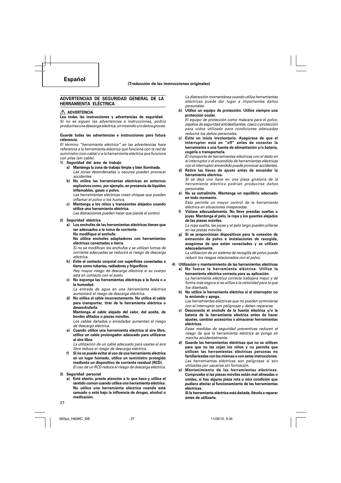### **ADVERTENCIAS DE SEGURIDAD GENERAL DE LA HERRAMIENTA ELÉCTRICA**

# **ADVERTENCIA**

**Lea todas las instrucciones y advertencias de seguridad.** Si no se siguen las advertencias e instrucciones, podría producirse una descarga eléctrica, un incendio y/o daños graves.

#### **Guarde todas las advertencias e instrucciones para futura referencia.**

El término "herramienta eléctrica" en las advertencias hace referencia a la herramienta eléctrica que funciona con la red de suministro (con cable) o a la herramienta eléctrica que funciona con pilas (sin cable).

- **1) Seguridad del área de trabajo**
	- **a) Mantenga la zona de trabajo limpia y bien iluminada.** Las zonas desordenadas u oscuras pueden provocar accidentes.
	- **b) No utilice las herramientas eléctricas en entornos explosivos como, por ejemplo, en presencia de líquidos inflamables, gases o polvo.**

Las herramientas eléctricas crean chispas que pueden inflamar el polvo o los humos.

**c) Mantenga a los niños y transeúntes alejados cuando utilice una herramienta eléctrica.**

Las distracciones pueden hacer que pierda el control.

#### **2) Seguridad eléctrica**

**a) Los enchufes de las herramientas eléctricas tienen que ser adecuados a la toma de corriente.**

**No modifique el enchufe.**

**No utilice enchufes adaptadores con herramientas eléctricas conectadas a tierra.**

Si no se modifican los enchufes y se utilizan tomas de corriente adecuadas se reducirá el riesgo de descarga eléctrica.

- **b) Evite el contacto corporal con superficies conectadas a tierra como tuberías, radiadores y frigoríficos.** Hay mayor riesgo de descarga eléctrica si su cuerpo está en contacto con el suelo.
- **c) No exponga las herramientas eléctricas a la lluvia o a la humedad.**

La entrada de agua en una herramienta eléctrica aumentará el riesgo de descarga eléctrica.

**d) No utilice el cable incorrectamente. No utilice el cable para transportar, tirar de la herramienta eléctrica o desenchufarla.**

**Mantenga el cable alejado del calor, del aceite, de bordes afilados o piezas móviles.**

Los cables dañados o enredados aumentan el riesgo de descarga eléctrica.

**e) Cuando utilice una herramienta eléctrica al aire libre, utilice un cable prolongador adecuado para utilizarse al aire libre.**

La utilización de un cable adecuado para usarse al aire libre reduce el riesgo de descarga eléctrica.

**f) Si no se puede evitar el uso de una herramienta eléctrica en un lugar húmedo, utilice un suministro protegido mediante un dispositivo de corriente residual (RCD).** El uso de un RCD reduce el riesgo de descarga eléctrica.

#### **3) Seguridad personal**

**a) Esté atento, preste atención a lo que hace y utilice el sentido común cuando utilice una herramienta eléctrica. No utilice una herramienta eléctrica cuando esté cansado o esté bajo la influencia de drogas, alcohol o medicación.**

La distracción momentánea cuando utiliza herramientas eléctricas puede dar lugar a importantes daños personales.

**b) Utilice un equipo de protección. Utilice siempre una protección ocular.**

El equipo de protección como máscara para el polvo, zapatos de seguridad antideslizantes, casco o protección para oídos utilizado para condiciones adecuadas reducirá los daños personales.

**c) Evite un inicio involuntario. Asegúrese de que el interruptor está en "off" antes de conectar la herramienta a una fuente de alimentación y/o batería, cogerla o transportarla.**

El transporte de herramientas eléctricas con el dedo en el interruptor o el encendido de herramientas eléctricas con el interruptor encendido puede provocar accidentes.

**d) Retire las llaves de ajuste antes de encender la herramienta eléctrica.**

Si se deja una llave en una pieza giratoria de la herramienta eléctrica podrían producirse daños personales.

**e) No se extralimite. Mantenga un equilibrio adecuado en todo momento.**

Esto permite un mayor control de la herramienta eléctrica en situaciones inesperadas.

**f) Vístase adecuadamente. No lleve prendas sueltas o joyas. Mantenga el pelo, la ropa y los guantes alejados de las piezas móviles.**

La ropa suelta, las joyas y el pelo largo pueden pillarse en las piezas móviles.

**g) Si se proporcionan dispositivos para la conexión de extracción de polvo e instalaciones de recogida, asegúrese de que están conectados y se utilizan adecuadamente.**

La utilización de un sistema de recogida de polvo puede reducir los riesgos relacionados con el polvo.

- **4) Utilización y mantenimiento de las herramientas eléctricas a) No fuerce la herramienta eléctrica. Utilice la herramienta eléctrica correcta para su aplicación.** La herramienta eléctrica correcta trabajará mejor y de forma más segura si se utiliza a la velocidad para la que fue diseñada.
	- **b) No utilice la herramienta eléctrica si el interruptor no la enciende y apaga.**

Las herramientas eléctricas que no pueden controlarse con el interruptor son peligrosas y deben repararse.

**c) Desconecte el enchufe de la fuente eléctrica y/o la batería de la herramienta eléctrica antes de hacer ajustes, cambiar accesorios o almacenar herramientas eléctricas.**

Estas medidas de seguridad preventivas reducen el riesgo de que la herramienta eléctrica se ponga en marcha accidentalmente.

- **d) Guarde las herramientas eléctricas que no se utilicen para que no las cojan los niños y no permita que utilicen las herramientas eléctricas personas no familiarizadas con las mismas o con estas instrucciones.** Las herramientas eléctricas son peligrosas si son utilizadas por usuarios sin formación.
- **e) Mantenimiento de las herramientas eléctricas. Compruebe si las piezas móviles están mal alineadas o unidas, si hay alguna pieza rota u otra condición que pudiera afectar al funcionamiento de las herramientas eléctricas.**

**Si la herramienta eléctrica está dañada, llévela a reparar antes de utilizarla.**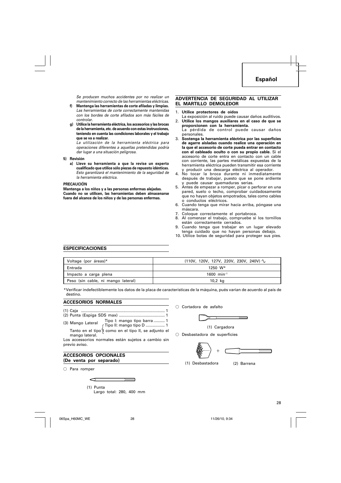Se producen muchos accidentes por no realizar un mantenimiento correcto de las herramientas eléctricas.

- **f) Mantenga las herramientas de corte afiladas y limpias.** Las herramientas de corte correctamente mantenidas con los bordes de corte afilados son más fáciles de controlar.
- **g) Utilice la herramienta eléctrica, los accesorios y las brocas de la herramienta, etc. de acuerdo con estas instrucciones, teniendo en cuenta las condiciones laborales y el trabajo que se va a realizar.**

La utilización de la herramienta eléctrica para operaciones diferentes a aquellas pretendidas podría dar lugar a una situación peligrosa.

#### **5) Revisión**

**a) Lleve su herramienta a que la revise un experto cualificado que utilice sólo piezas de repuesto idénticas.** Esto garantizará el mantenimiento de la seguridad de la herramienta eléctrica.

### **PRECAUCIÓN**

**Mantenga a los niños y a las personas enfermas alejadas. Cuando no se utilicen, las herramientas deben almacenarse fuera del alcance de los niños y de las personas enfermas.**

# **ADVERTENCIA DE SEGURIDAD AL UTILIZAR EL MARTILLO DEMOLEDOR**

- 1. **Utilice protectores de oídos**
- La exposición al ruido puede causar daños auditivos. 2. **Utilice los mangos auxiliares en el caso de que se**

**proporcionen con la herramienta.** La pérdida de control puede causar daños personales.

- 3. **Sostenga la herramienta eléctrica por las superficies de agarre aisladas cuando realice una operación en la que el accesorio de corte pueda entrar en contacto con el cableado oculto o con su propio cable.** Si el accesorio de corte entra en contacto con un cable con corriente, las partes metálicas expuestas de la herramienta eléctrica pueden transmitir esa corriente y producir una descarga eléctrica al operador.
- 4. No tocar la broca durante ni inmediatamente después de trabajar, puesto que se pone ardiente y puede causar quemaduras serias.
- 5. Antes de empezar a romper, picar o perforar en una pared, suelo o techo, comprobar cuidadosamente que no hayan objetos empotrados, tales como cables o conductos eléctricos.
- 6. Cuando tenga que mirar hacia arriba, póngase una máscara.
- 7. Coloque correctamente el portabroca.
- 8. Al comenzar el trabajo, compruebe si los tornillos están correctamente cerrados.
- 9. Cuando tenga que trabajar en un lugar elevado tenga cuidado que no hayan personas debajo.
- 10. Utilice botas de seguridad para proteger sus pies.

# **ESPECIFICACIONES**

| Voltage (por áreas)*               | (110V, 120V, 127V, 220V, 230V, 240V) |
|------------------------------------|--------------------------------------|
| Entrada                            | 1250 W*                              |
| Impacto a carga plena              | $1600$ min <sup>-1</sup>             |
| Peso (sin cable, ni mango lateral) | $10,2$ kg                            |

\*Verificar indefectiblemente los datos de la placa de características de la máquina, pués varian de acuerdo al país de destino.

### **ACCESORIOS NORMALES**

(1) Caja ........................................................................... 1 (2) Punta (Espiga SDS max) ......................................... 1

(3) Mango Lateral  $\overline{I}$ ipo I: mango tipo barra ..........

Tipo II: mango tipo D ................. 1

Tanto en el tipo I como en el tipo II, se adjunto el mango lateral.

Los accessorios normales están sujetos a cambio sin previo aviso.

# **ACCESORIOS OPCIONALES (De venta por separado)**

 $O$  Para romper



(1) Punta Largo total: 280, 400 mm Cortadora de asfalto



(1) Cargadora

O Desbastadora de superficies



(1) Desbastadora (2) Barrena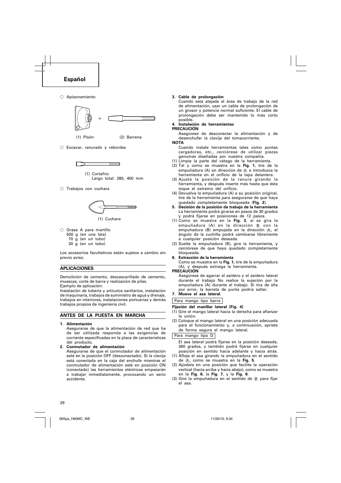$\bigcirc$  Apisonamiento



(1) Pisón (2) Barrena

Excavar, ranurado y rebordes



- (1) Cortafrio Largo total: 280, 400 mm
- O Trabajos con cuchara



(1) Cuchara

- Grasa A para martillo
	- 500 g (en una lata)
	- 70 g (en un tubo)
	- 30 g (en un tobo)

Los accesorios facultativos están sujetos a cambio sin previo aviso.

# **APLICACIONES**

Demolición de cemento, descascarillado de cemento, muescas, corte de barra y realización de pilas. Ejemplo de aplicación:

Instalación de tuberia y artículos sanitarios, instalación de maquinaria, trabajos de suministro de agua y drenaje, trabajos en interiores, instalaciones portuarias y demás trabajos propios de ingenieria civil.

# **ANTES DE LA PUESTA EN MARCHA**

# **1. Alimentación**

Asegurarse de que la alimentación de red que ha de ser utilizada responda a las exigencias de corriente especificadas en la placa de características del producto.

**2. Conmutador de alimentación**

Asegurarse de que el conmutador de alimentación esté en la posición OFF (desconectado). Si la clavija está conectada en la caja del enchufe mientras el conmutador de alimentación esté en posición ON (conectado) las herramientas eléctricas empezarán a trabajar inmediatamente, provocando un serio accidente.

# **3. Cable de prolongación**

Cuando está alejada el área de trabajo de la red de alimentación, usar un cable de prolongación de un grosor y potencia normal suficiente. El cable de prolongación debe ser mantenido lo más corto posible.

#### **4. Instalación de herramientas PRECAUCIÓN**

Asegúrese de desconectar la alimentación y de desenchufar la clavija del tomacorriente.

#### **NOTA**

Cuando instale herramientas tales como puntas cargadoras, etc., cerciórese de utilizar piezas genuinas diseñadas por nuestra compañía.

- (1) Limpie la parte del vátago de la herramienta.
- (2) Tal y como se muestra en la **Fig. 1**, tire de la empuñadura (A) en dirección de @ e introduzca la herramienta en el orificio de la tapa delantera.
- (3) Ajuste la posición de la ranura girando la herramienta, y después inserte más hasta que ésta toque el extremo del orificio.
- (4) Devuelva la empuñadura (A) a su posición original, tire de la herramienta para asegurarse de que haya quedado completamente bloqueada (**Fig. 2**).
- **5. Decisión de la posición de trabajo de la herramienta** La herramienta podrá girarse en pasos de 30 grados y podrá fijarse en posiciones de 12 pasos.
- (1) Como se muestra en la **Fig. 3**, si se gira la empuñadura (A) en la dirección ® con la empuñadura (B) empujada en la dirección (A), el ángulo de la cuchilla podrá cambiarse libremente a cualquier posición deseada.
- (2) Suelte la empuñadura (B), gire la herramienta, y cerciórese de que haya quedado completamente bloqueada.

# **6. Extracción de la herramienta**

Como se muestra en la **Fig. 1**, tire de la empuñadura (A), y después extraiga la herramienta.

### **PRECAUCIÓN**

Asegúrese de agarrar el asidero y el asidero lateral durante el trabajo No realice la sujeción por la empuñadura (A) durante el trabajo. Si tira de ella por error, la barreta de punta podría saltar.

# **7. Mueva el asa lateral.**

Para mango tipo barra

#### **Fijación del manillar lateral (Fig. 4)**

- (1) Gire el mango lateral hacia la derecha para afianzar la unión.
- (2) Coloque el mango lateral en una posición adecuada para el funcionamiento y, a continuación, apriete de forma segura el mango lateral.

# Para mango tipo D

El asa lateral podrá fijarse en la posición deseada, 360 grados, y también podrá fijarse en cualquier posición en sentido hacia adelante y hacia atrás.

- (1) Afloje el asa girando la empuñadura en el sentido de A , como se muestra en la **Fig. 5**.
- (2) Ajústela en una posición que facilite la operación vertical (hacia arriba y hacia abajo), como se muestra en la **Fig. 6**, la **Fig. 7**, y la **Fig. 8**.
- (3) Gire la empuñadura en el sentido de B para fijar el asa.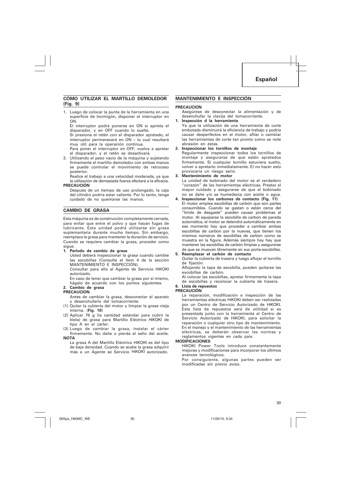# **CÓMO UTILIZAR EL MARTILLO DEMOLEDOR (Fig. 9)**

1. Luego de colocar la punta de la herramienta en una superficie de hormigón, disponer el interruptor en ON.

El interruptor podrá ponerse en ON si aprieta el disparador, y en OFF cuando lo suelte.

Si presiona el retén con el disparador apretado, el interruptor permanecerá en ON – lo cual resultará muy útil para la operación continua.

Para poner el interruptor en OFF, vuelva a apretar el disparador, y el retén se desactivará.

2. Utilizando el peso vacío de la máquina y sujetando firmemente el martillo demoledor con ambas manos se puede controlar el movimiento de retroceso posterior.

Realice el trabajo a una velocidad moderada, ya que la utilización de demasiada fuerza afectará a la eficacia. **PRECAUCIÓN**

Después de un tiempo de uso prolongado, la caja del cilindro podría estar caliente. Por lo tanto, tenga cuidado de no quemarse las manos.

# **CAMBIO DE GRASA**

Esta máquina es de construcción completamente cerrada, para evitar que entre el polvo y que hayan fugas de lubricante. Esta unidad podrá utilizarse sin grasa suplemantaria durante mucho tiempo. Sin embargo, reemplace la grasa para mantener la duración de servicio. Cuando se requiere cambiar la grasa, proceder como sigue.

#### **1. Periodo de cambio de grasa**

Usted deberá inspeccionar la grasa cuando cambie las escobillas (Consulte el ítem 4 de la sección MANTENIMIENTO E INSPECCIÓN).

Consultar para ello al Agente de Servicio HiKOKI autorizado.

En caso de tener que cambiar la grasa por sí mismo, hágalo de acuerdo con los puntos siguientes.

# **2. Cambio de grasa**

#### **PRECAUCION**

Antes de cambiar la grasa, desconectar el aparato y desenchufarlo del tomacorriente.

- (1) Quitar la cubierta del motor y limpiar la grase vieja interna. (**Fig. 10**)
- (2) Aplicar 76 g (la cantidad estándar para cubrir la biela) de grasa para Martillo Eléctrico HiKOKI de tipo A en el cárter.

(3) Luego de cambiar la grasa, instalar el cárter firmemente. No dañe o pierda el sello del aceite.

#### **NOTA**

La grasa A del Martillo Eléctrico HiKOKI es del tipo de baja densidad. Cuando se acabe la grasa adquirir más a un Agente se Servicio HiKOKI autorizado.

# **MANTENIMIENTO E INSPECCIÓN**

#### **PRECAUCION**

Asegúrese de desconectar la alimentación y de desenchufar la clavija del tomacorriente.

**1. Inspección d la herramienta**

Ya que la utilización de una herramienta de corte embotada disminuirá la eficiencia de trabajo y podría causar desperfectos en el motor, afilar o cambiar las herramientas de corte tan pronto como se note abrasión en éstas.

#### **2. Inspeccionar los tornillos de montaje**

Regularmente inspeccionar todos los tornillos de montaje y asegurarse de que estén apretados firmemente. Si cualquier tornillo estuviera suelto, volver a apretarlo inmediatamente. El no hacer esto provocaría un riesgo serio.

#### **3. Mantenimiento de motor**

La unidad de bobinado del motor es el verdadero "corazón" de las herramientas eléctricas. Prestar el mayor cuidado y asegurarse de que el bobinado no se dañe y/o se humedezca con aceite o agua.

**4. Inspeccionar los carbones de contacto (Fig. 11)** El motor emplea escobillas de carbón que son partes consumibles. Cuando se gastan o están cerca del "limite de desgaste" pueden causar problemas al motor. Al equiparse la escobilla de carbón de parada automática, el motor se detendrá automáticamente en ese momento hay que proceder a cambiar ambas escobillas de carbón por la nuevas, que tienen los mismos números de escobillas de carbón como se muestra en la figura. Además siempre hay hay que mantener las escobillas de carbón limpias y asegurarse de que se muevan libremente en sus porta-escobillas.

#### **5. Reemplazar el carbón de contacto**

Quitar la cubierta de trasera y luego aflojar el tornillo de fijactón

Aflojando la tapa de escobilla, pueden quitarse las excobillas de carbón.

Al colocar las escobillas, apretar firmemente la tapa de escobillas y recolocar la cubierta de trasera.

# **6. Lista de repuestos**

#### **PRECAUCIÓN**

La reparación, modificación e inspección de las herramientas eléctricas HiKOKI deben ser realizadas por un Centro de Servicio Autorizado de HiKOKI. Esta lista de repuestos será de utilidad si es presentada junto con la herramienta al Centro de HiKOKI de Servicio Autorizado de HiKOKI, para solicitar la reparación o cualquier otro tipo de mantenimiento. En el manejo y el mantenimiento de las herramientas eléctricas, se deberán observar las normas y reglamentos vigentes en cada país.

#### **MODIFICACIONES**

HiKOKI Power Tools introduce constantemente mejoras y modificaciones para incorporar los últimos avances tecnológicos.

Por consiguiente, algunas partes pueden ser modificadas sin previo aviso.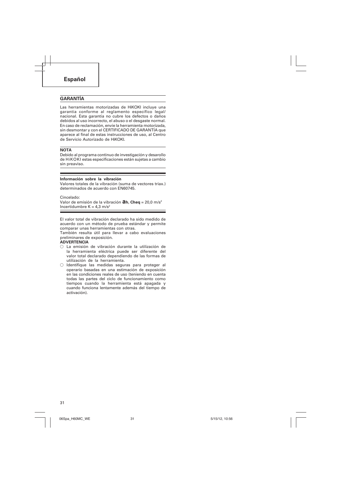# **GARANTÍA**

Las herramientas motorizadas de HiKOKI incluye una garantía conforme al reglamento específico legal/ nacional. Esta garantía no cubre los defectos o daños debidos al uso incorrecto, el abuso o el desgaste normal. En caso de reclamación, envíe la herramienta motorizada, sin desmontar y con el CERTIFICADO DE GARANTÍA que aparece al final de estas instrucciones de uso, al Centro de Servicio Autorizado de HiKOKI.

# **NOTA**

Debido al programa continuo de investigación y desarollo de HiKOKI estas especificaciones están sujetas a cambio sin preaviso.

#### **Información sobre la vibración**

Valores totales de la vibración (suma de vectores triax.) determinados de acuerdo con EN60745.

Cincelado:

Valor de emisión de la vibración **ah**, **Cheq** = 20,0 m/s2 Incertidumbre  $K = 4.3$  m/s<sup>2</sup>

El valor total de vibración declarado ha sido medido de acuerdo con un método de prueba estándar y permite comparar unas herramientas con otras.

También resulta útil para llevar a cabo evaluaciones preliminares de exposición.

# **ADVERTENCIA**

- La emisión de vibración durante la utilización de la herramienta eléctrica puede ser diferente del valor total declarado dependiendo de las formas de utilización de la herramienta.
- $\bigcirc$  Identifique las medidas seguras para proteger al operario basadas en una estimación de exposición en las condiciones reales de uso (teniendo en cuenta todas las partes del ciclo de funcionamiento como tiempos cuando la herramienta está apagada y cuando funciona lentamente además del tiempo de activación).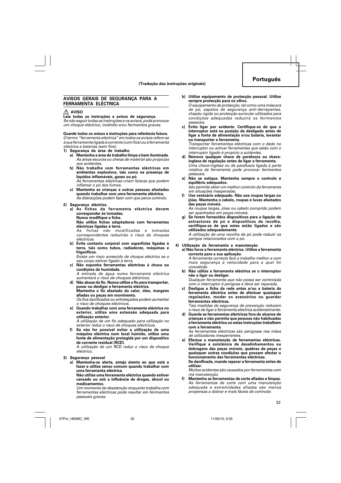# **AVISOS GERAIS DE SEGURANÇA PARA A FERRAMENTA ELÉCTRICA**

#### A AVISO

**Leia todas as instruções e avisos de segurança.** Se não seguir todas as instruções e os avisos, pode provocar um choque eléctrico, incêndio e/ou ferimentos graves.

#### **Guarde todos os avisos e instruções para referência futura.**

O termo "ferramenta eléctrica" em todos os avisos refere-se à sua ferramenta ligada à corrente (com fios) ou à ferramenta eléctrica a baterias (sem fios).

- **1) Segurança da área de trabalho**
	- **a) Mantenha a área de trabalho limpa e bem iluminada.** As áreas escuras ou cheias de material são propícias aos acidentes.
	- **b) Não trabalhe com ferramentas eléctricas em ambientes explosivos, tais como na presença de líquidos inflamáveis, gases ou pó.** As ferramentas eléctricas criam faíscas que podem inflamar o pó dos fumos.
	- **c) Mantenha as crianças e outras pessoas afastadas quando trabalhar com uma ferramenta eléctrica.** As distracções podem fazer com que perca controlo.

#### **2) Segurança eléctrica**

**a) As fichas da ferramenta eléctrica devem corresponder às tomadas.**

**Nunca modifique a ficha. Não utilize fichas adaptadoras com ferramentas eléctricas ligadas à terra.**

As fichas não modificadas e tomadas correspondentes reduzirão o risco de choques eléctricos.

**b) Evite contacto corporal com superfícies ligadas à terra, tais como tubos, radiadores, máquinas e frigoríficos.**

Existe um risco acrescido de choque eléctrico se o seu corpo estiver ligado à terra.

**c) Não exponha ferramentas eléctricas à chuva ou condições de humidade.**

A entrada de água numa ferramenta eléctrica aumentará o risco de choques eléctricos.

- **d) Não abuse do fio. Nunca utilize o fio para transportar, puxar ou desligar a ferramenta eléctrica. Mantenha o fio afastado do calor, óleo, margens afiadas ou peças em movimento.** Os fios danificados ou entrelaçados podem aumentar o risco de choques eléctricos. **e) Quando trabalhar com uma ferramenta eléctrica no**
- **exterior, utilize uma extensão adequada para utilização exterior.**

A utilização de um fio adequado para utilização no exterior reduz o risco de choques eléctricos.

**f) Se não for possível evitar a utilização de uma máquina eléctrica num local húmido, utilize uma fonte de alimentação protegida por um dispositivo de corrente residual (RCD).**

A utilização de um RCD reduz o risco de choque eléctrico.

- **3) Segurança pessoal**
	- **a) Mantenha-se alerta, esteja atento ao que está a fazer e utilize senso comum quando trabalhar com uma ferramenta eléctrica.**

**Não utilize uma ferramenta eléctrica quando estiver cansado ou sob a influência de drogas, álcool ou medicamentos.**

Um momento de desatenção enquanto trabalha com ferramentas eléctricas pode resultar em ferimentos pessoais graves.

**b) Utilize equipamento de protecção pessoal. Utilize sempre protecção para os olhos.**

O equipamento de protecção, tal como uma máscara de pó, sapatos de segurança anti-derrapantes, chapéu rígido ou protecção auricular utilizados para condições adequadas reduzirá os ferimentos pessoais.

**c) Evite ligar por acidente. Certifique-se de que o interruptor está na posição de desligado antes de ligar a fonte de alimentação e/ou bateria, levantar ou transportar a ferramenta.**

Transportar ferramentas eléctricas com o dedo no interruptor ou activar ferramentas que estão com o

- interruptor ligado é propício a acidentes. **d) Remova qualquer chave de parafusos ou chaveinglesa de regulação antes de ligar a ferramenta.** Uma chave-inglesa ou de parafusos ligada à parte rotativa da ferramenta pode provocar ferimentos pessoais.
- **e) Não se estique. Mantenha sempre o controlo e equilíbrio adequados.** Isto permite obter um melhor controlo da ferramenta em situações inesperadas.
- **f) Use vestuário adequado. Não use roupas largas ou jóias. Mantenha o cabelo, roupas e luvas afastados das peças móveis.**

As roupas largas, jóias ou cabelo comprido podem ser apanhados em peças móveis.

**g) Se forem fornecidos dispositivos para a ligação de extractores de pó e dispositivos de recolha, certifique-se de que estes estão ligados e são utilizados adequadamente.**

A utilização de uma recolha de pó pode reduzir os perigos relacionados com o pó.

#### **4) Utilização da ferramenta e manutenção**

**a) Não force a ferramenta eléctrica. Utilize a ferramenta correcta para a sua aplicação.**

A ferramenta correcta fará o trabalho melhor e com mais segurança à velocidade para a qual foi concebida.

**b) Não utilize a ferramenta eléctrica se o interruptor não a ligar ou desligar.** Qualquer ferramenta que não possa ser controlada

com o interruptor é perigosa e deve ser reparada.

**c) Desligue a ficha da rede antes e/ou a bateria da ferramenta eléctrica antes de efectuar quaisquer regulações, mudar os acessórios ou guardar ferramentas eléctricas.**

Tais medidas de segurança de prevenção reduzem o risco de ligar a ferramenta eléctrica acidentalmente.

**d) Guarde as ferramentas eléctricas fora do alcance de crianças e não permita que pessoas não habituadas à ferramenta eléctrica ou estas instruções trabalhem com a ferramenta.**

As ferramentas eléctricas são perigosas nas mãos de utilizadores inexperientes.

**e) Efectue a manutenção de ferramentas eléctricas. Verifique a existência de desalinhamentos ou dobragens das peças móveis, quebras de peças e quaisquer outras condições que possam afectar o funcionamento das ferramentas eléctricas.**

**Se danificada, mande reparar a ferramenta antes de utilizar.**

Muitos acidentes são causados por ferramentas com má manutenção.

**f) Mantenha as ferramentas de corte afiadas e limpas.** As ferramentas de corte com uma manutenção adequada e extremidades afiadas são menos propensas a dobrar e mais fáceis de controlar.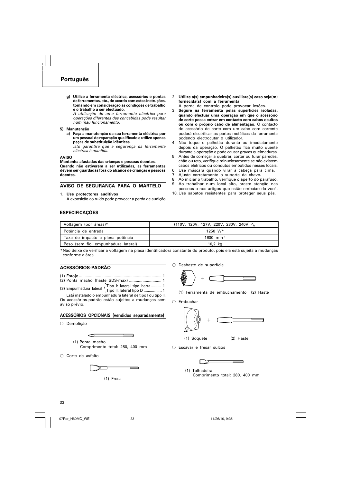**g) Utilize a ferramenta eléctrica, acessórios e pontas de ferramentas, etc., de acordo com estas instruções, tomando em consideração as condições de trabalho e o trabalho a ser efectuado.**

A utilização de uma ferramenta eléctrica para operações diferentes das concebidas pode resultar num mau funcionamento.

- **5) Manutenção**
	- **a) Faça a manutenção da sua ferramenta eléctrica por um pessoal de reparação qualificado e utilize apenas peças de substituição idênticas.**

Isto garantirá que a segurança da ferramenta eléctrica é mantida.

# **AVISO**

**Mantenha afastadas das crianças e pessoas doentes. Quando não estiverem a ser utilizadas, as ferramentas devem ser guardadas fora do alcance de crianças e pessoas doentes.**

# **AVISO DE SEGURANÇA PARA O MARTELO**

1. **Use protectores auditivos**

A exposição ao ruído pode provocar a perda de audição

- 2. **Utilize a(s) empunhadeira(s) auxiliare(s) caso seja(m) fornecida(s) com a ferramenta.** A perda de controlo pode provocar lesões.
- 3. **Segure na ferramenta pelas superfícies isoladas, quando efectuar uma operação em que o acessório de corte possa entrar em contacto com cabos ocultos ou com o próprio cabo de alimentação.** O contacto do acessório de corte com um cabo com corrente poderá electrificar as partes metálicas da ferramenta podendo electrocutar o utilizador.
- 4. Não toque o palhetão durante ou imediatamente depois da operação. O palhetão fica muito quente durante a operação e pode causar graves queimaduras.
- 5. Antes de começar a quebrar, cortar ou furar paredes, chão ou teto, verifique minuciosamente se não existem cabos elétricos ou condutos embutidos nesses locais.
- 6. Use máscara quando virar a cabeça para cima.
- 7. Ajuste corretamente o suporte da chave.
- 8. Ao iniciar o trabalho, verifique o aperto do parafuso.
- 9. Ao trabalhar num local alto, preste atenção nas pessoas e nos artigos que estão embaixo de você.
- 10. Use sapatos resistentes para proteger seus pés.

# **ESPECIFICAÇÕES**

| Voltagem (por áreas)*               | (110V, 120V, 127V, 220V, 230V, 240V) 0, |
|-------------------------------------|-----------------------------------------|
| Potência de entrada                 | 1250 W*                                 |
| Taxa de impacto a plena potência    | $1600$ min <sup>-1</sup>                |
| Peso (sem fio, empunhadura lateral) | $10,2$ kg                               |

\*Não deixe de verificar a voltagem na placa identificadora constante do produto, pois ela está sujeita a mudanças conforme a área.

# **ACESSÓRIOS-PADRÃO**

- (1) Estojo .......................................................................... 1 (2) Ponta macho (haste SDS-max) ............................. 1
- 

(3) Empunhadura lateral Tipo I: lateral tipo barra .......... <sup>1</sup> Tipo II: lateral tipo D ................. 1 Está instalado o empunhadura lateral de tipo I ou tipo II. Os acessórios-padrão estão sujeitos a mudanças sem aviso prévio.

# **ACESSÓRIOS OPCIONAIS (vendidos separadamente)**

O Demolição



Comprimento total: 280, 400 mm

Corte de asfalto



(1) Fresa

Desbaste de superfície



- (1) Ferramenta de embuchamento (2) Haste
- $\bigcirc$  Embuchar



(1) Soquete (2) Haste

○ Escavar e fresar sulcos



(1) Talhadeira Comprimento total: 280, 400 mm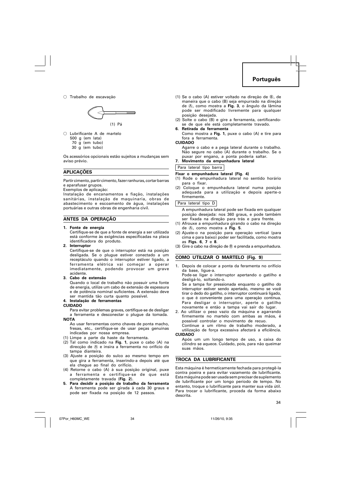Trabalho de escavação



Lubrificante A de martelo

500 g (em lata)

70 g (em tubo)

30 g (em tubo)

Os acessórios opcionais estão sujeitos a mudanças sem aviso prévio.

# **APLICAÇÕES**

Partir cimento, partir cimento, fazer ranhuras, cortar barras e aparafusar grupos.

Exemplos de aplicação:

Instalação de encanamentos e fiação, instalações sanitárias, instalação de maquinaria, obras de abastecimento e escoamento de água, instalações portuárias e outras obras de engenharia civil.

# **ANTES DA OPERAÇÃO**

**1. Fonte de energia**

Certifique-se de que a fonte de energia a ser utilizada está conforme às exigências especificadas na placa identificadora do produto.

**2. Interruptor**

Certifique-se de que o interruptor está na posição desligada. Se o plugue estiver conectado a um receptáculo quando o interruptor estiver ligado, a ferramenta elétrica vai começar a operar imediatamente, podendo provocar um grave acidente.

#### **3. Cabo de extensão**

Quando o local de trabalho não possuir uma fonte de energia, utilize um cabo de extensão de espessura e de potência nominal suficientes. A extensão deve ser mantida tão curta quanto possível.

# **4. Instalação de ferramentas**

#### **CUIDADO**

Para evitar problemas graves, certifique-se de desligar a ferramenta e desconectar o plugue da tomada.

# **NOTA**

Ao usar ferramentas como chaves de ponta macho, fresas, etc., certifique-se de usar peças genuínas indicadas por nossa empresa.

- (1) Limpe a parte da haste da ferramenta.
- (2) Tal como indicado na **Fig. 1**, puxe o cabo (A) na direcção de A e insira a ferramenta no orifício da tampa dianteira.
- (3) Ajuste a posição do sulco ao mesmo tempo em que gira a ferramenta, inserindo-a depois até que ela chegue ao final do orifício.
- (4) Retorne o cabo (A) à sua posição original, puxe a ferramenta e certifique-se de que está completamente travada (**Fig. 2**).
- **5. Para decidir a posição de trabalho da ferramenta** A ferramenta pode ser girada à cada 30 graus e pode ser fixada na posição de 12 passos.
- (1) Se o cabo (A) estiver voltado na direção de  $(B)$ , de maneira que o cabo (B) seja empurrado na direção de A , como mostra a **Fig. 3**, o ângulo da lâmina pode ser modificado livremente para qualquer posição desejada.
- (2) Solte o cabo (B) e gire a ferramenta, certificandose de que ele está completamente travado.

**6. Retirada da ferramenta**

Como mostra a **Fig. 1**, puxe o cabo (A) e tire para fora a ferramenta.

#### **CUIDADO**

Agarre o cabo e a pega lateral durante o trabalho. Não segure no cabo (A) durante o trabalho. Se o puxar por engano, a ponta poderia saltar.

**7. Movimento da empunhadura lateral**

Para lateral tipo barra

#### **Fixar o empunhadura lateral (Fig. 4)**

- (1) Rode o empunhadura lateral no sentido horário para o fixar.
- (2) Coloque o empunhadura lateral numa posição adequada para a utilização e depois aperte-o firmemente.

Para lateral tipo D

A empunhadura lateral pode ser fixada em qualquer posição desejada: nos 360 graus, e pode também ser fixada na direção para trás e para frente.

- (1) Afrouxe a empunhadura girando o cabo na direção de  $\textcircled{A}$ , como mostra a Fig. 5.
- (2) Ajuste-o na posição para operação vertical (para cima e para baixo) poder ser facilitada, como mostra as **Figs. 6**, **7** e **8**.
- (3) Gire o cabo na direção de  $\circledB$  e prenda a empunhadura.

# **COMO UTILIZAR O MARTELO (Fig. 9)**

1. Depois de colocar a ponta da feramenta no orifício da base, ligue-a. Pode-se ligar o interruptor apertando o gatilho e desligá-lo, soltando-o. Se a tampa for pressionada enquanto o gatilho do

interruptor estiver sendo apertado, mesmo se você tirar o dedo do gatilho, o interruptor continuará ligado, o que é conveniente para uma operação contínua. Para desligar o interruptor, aperte o gatilho novamente e então a tampa vai sair do lugar.

2. Ao utilizar o peso vazio da máquina e agarrando firmemente no martelo com ambas as mãos, é possível controlar o movimento de recuo.

Continue a um ritmo de trabalho moderado, a utilização de força excessiva afectará a eficiência.

#### **CUIDADO**

Após um um longo tempo de uso, a caixa do cilindro se aquece. Cuidado, pois, para não queimar suas mãos.

### **TROCA DA LUBRIFICANTE**

Esta máquina é hermeticamente fechada para protegê-la contra poeira e para evitar vazamento de lubrificante. Esta máquina pode ser usada sem precisar de suplemento de lubrificante por um longo período de tempo. No entanto, troque o lubrificante para manter sua vida útil. Para trocar o lubrificante, proceda da forma abaixo descrita.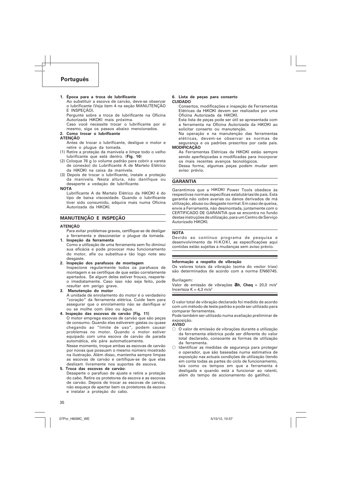# **Português**

#### **1. Época para a troca de lubrificante**

Ao substituir a escova de carvão, deve-se observar o lubrificante (Veja item 4 na seção MANUTENÇÃO E INSPEÇÃO).

Pergunte sobre a troca de lubrificante na Oficina Autorizada HiKOKI mais próxima.

Caso você necessite trocar o lubrificante por si mesmo, siga os passos abaixo mencionados.

### **2. Como trocar o lubrificante**

#### **ATENÇÃO**

Antes de trocar o lubrificante, desligue o motor e retire o plugue da tomada.

- (1) Retire a proteção da manivela e limpe todo o velho lubrificante que está dentro. (**Fig. 10**)
- (2) Coloque 76 g (o volume padrão para cobrir a vareta de conexão) do Lubrificante A de Martelo Elétrico da HiKOKI na caixa da manivela.
- (3) Depois de trocar o lubrificante, instale a proteção da manivela. Nesta altura, não danifique ou desaperte a vedação de lubrificante.

#### **NOTA**

Lubrificante A de Martelo Elétrico da HiKOKI é do tipo de baixa viscosidade. Quando o lubrificante tiver sido consumido, adquira mais numa Oficina Autorizada da HiKOKI.

# **MANUTENÇÃO E INSPEÇÃO**

#### **ATENÇÃO**

Para evitar problemas graves, certifique-se de desligar a ferramenta e desconectar o plugue da tomada.

**1. Inspeção da ferramenta**

Como a utilização de uma ferramenta sem fio diminui sua eficácia e pode provocar mau funcionamento do motor, afie ou substitua-a tão logo note seu desgaste.

#### **2. Inspeção dos parafusos de montagem**

Inspecione regularmente todos os parafusos de montagem e se certifique de que estão corretamente apertados. Se algum deles estiver frouxo, reaperteo imediatamente. Caso isso não seja feito, pode resultar em perigo grave.

#### **3. Manutenção do motor**

A unidade de enrolamento do motor é o verdadeiro "coração" da ferramenta elétrica. Cuide bem para assegurar que o enrolamento não se danifique e/ ou se molhe com óleo ou água.

#### **4. Inspeção das escovas de carvão (Fig. 11)**

O motor emprega escovas de carvão que são peças de consumo. Quando elas estiverem gastas ou quase chegando ao "limite de uso", podem causar problemas no motor. Quando o motor estiver equipado com uma escova de carvão de parada automática, ele pára automaticamente.

Nesse momento, troque ambas as escovas de carvão por novas que possuam o mesmo número mostrado na ilustração. Além disso, mantenha sempre limpas as escovas de carvão e certifique-se de que elas deslizam livremente nos suportes de escova.

### **5. Troca das escovas de carvão:**

Desaperte o parafuso de ajuste e retire a proteção do cabo. Retire os protetores da escova e as escovas de carvão. Depois de trocar as escovas de carvão, não esqueça de apertar bem os protetores da escova e instalar a proteção do cabo.

# **6. Lista de peças para conserto**

### **CUIDADO**

Consertos, modificações e inspeção de Ferramentas Elétricas da HiKOKI devem ser realizados por uma Oficina Autorizada da HiKOKI.

Esta lista de peças pode ser útil se apresentada com a ferramenta na Oficina Autorizada da HiKOKI ao solicitar conserto ou manutenção.

Na operação e na manutenção das ferramentas elétricas, devem-se observar as normas de segurança e os padrões prescritos por cada país.

# **MODIFICAÇÃO**

As Ferramentas Elétricas da HiKOKI estão sempre sendo aperfeiçoadas e modificadas para incorporar os mais recentes avanços tecnológicos.

Dessa forma, algumas pecas podem mudar sem aviso prévio.

# **GARANTIA**

Garantimos que a HiKOKI Power Tools obedece às respectivas normas específicas estatutárias/de país. Esta garantia não cobre avarias ou danos derivados de má utilização, abuso ou desgaste normal. Em caso de queixa, envie a Ferramenta, não desmontada, juntamente com o CERTIFICADO DE GARANTIA que se encontra no fundo destas instruções de utilização, para um Centro de Serviço Autorizado HiKOKI.

### **NOTA**

Devido ao contínuo programa de pesquisa e desenvolvimento da HiKOKI, as especificações aqui contidas estão sujeitas a mudanças sem aviso prévio.

#### **Informação a respeito de vibração**

Os valores totais da vibração (soma do vector triax) são determinados de acordo com a norma EN60745.

#### Burilagem:

Valor de emissão de vibrações **ah**, **Cheq** = 20,0 m/s2 Incerteza  $K = 4.3$  m/s<sup>2</sup>

O valor total de vibração declarado foi medido de acordo com um método de teste padrão e pode ser utilizado para comparar ferramentas.

Pode também ser utilizado numa avaliação preliminar de exposição.

#### **AVISO**

- O valor de emissão de vibrações durante a utilização da ferramenta eléctrica pode ser diferente do valor total declarado, consoante as formas de utilização da ferramenta.
- $\circlearrowright$  Identificar as medidas de segurança para proteger o operador, que são baseadas numa estimativa de exposição nas actuais condições de utilização (tendo em conta todas as partes do ciclo de funcionamento, tais como os tempos em que a ferramenta é desligada e quando está a funcionar ao ralenti, além do tempo de accionamento do gatilho).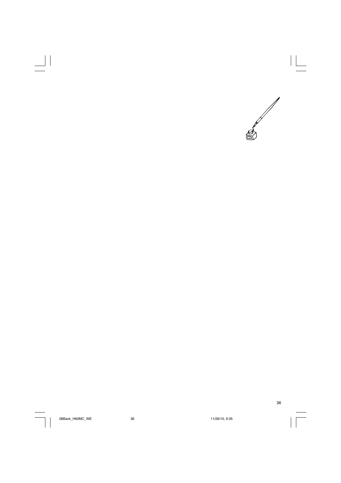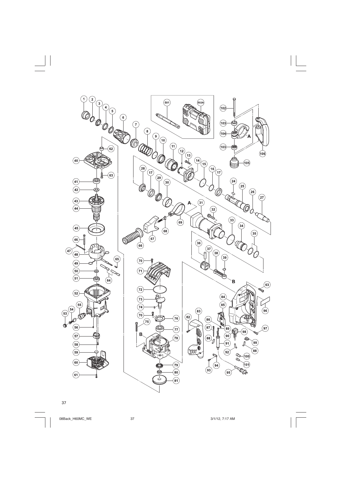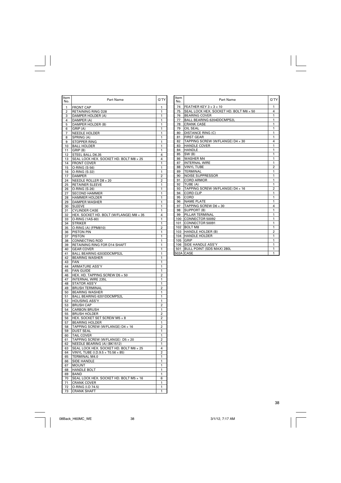| Item<br>No.     | Part Name                                                       |                     |  |
|-----------------|-----------------------------------------------------------------|---------------------|--|
| 1               | <b>FRONT CAP</b>                                                | 1                   |  |
| $\overline{c}$  | RETAINING RING D28                                              | 1                   |  |
| 3               | DAMPER HOLDER (A)                                               |                     |  |
| 4               | DAMPER (A)                                                      |                     |  |
| 5<br>6          | DAMPER HOLDER (B)                                               |                     |  |
| 7               | GRIP (A)<br>NEEDLE HOLDER                                       |                     |  |
| 8               | SPRING (A)                                                      | 1<br>1              |  |
| 9               | STOPPER RING                                                    | 1                   |  |
| 10              | <b>BALL HOLDER</b>                                              | 1                   |  |
| 11              | GRIP (B)                                                        | 1                   |  |
| 12              | STEEL BALL D6.35                                                | 4                   |  |
| 13              | SEAL LOCK HEX. SOCKET HD. BOLT M8 x 25                          | 4<br>1              |  |
| 14<br>15        | <b>FRONT COVER</b><br>O-RING (S-56)                             | 1                   |  |
| 16              | O-RING (S-32)                                                   | 1                   |  |
| 17              | <b>DAMPER</b>                                                   | 2                   |  |
| 24              | NEEDLE ROLLER D8 × 20                                           | 2                   |  |
| 25              | RETAINER SLEEVE                                                 | 1                   |  |
| 26              | O-RING (S-26)                                                   | 1                   |  |
| 27              | <b>SECOND HAMMER</b>                                            | 1                   |  |
| 28              | HAMMER HOLDER                                                   | 1<br>1              |  |
| 29<br>30        | <b>DAMPER WASHER</b><br><b>SLEEVE</b>                           | 1                   |  |
| $\overline{3}1$ | <b>CYLINDER CASE</b>                                            | 1                   |  |
| 32              | HEX. SOCKET HD. BOLT (W/FLANGE) M8 x 35                         | 4                   |  |
| 33              | O-RING (1AS-60)                                                 | 1                   |  |
| 34              | <b>STRIKER</b>                                                  | 1                   |  |
| 35              | O-RING (A) (FPM810)                                             | $\overline{2}$      |  |
| 36              | <b>PISTON PIN</b>                                               | 1                   |  |
| 37              | <b>PISTON</b>                                                   | 1                   |  |
| 38<br>39        | CONNECTING ROD<br>RETAINING RING FOR D14 SHAFT                  | 1<br>1              |  |
| 40              | <b>GEAR COVER</b>                                               | 1                   |  |
| 41              | BALL BEARING 6203DDCMPS2L                                       | 1                   |  |
| 42              | <b>BEARING WASHER</b>                                           | 1                   |  |
| 43              | FAN                                                             | 1                   |  |
| 44              | ARMATURE ASS'Y                                                  | 1                   |  |
| 45              | <b>FAN GUIDE</b>                                                | 1<br>$\overline{c}$ |  |
| 46<br>47        | HEX. HD. TAPPING SCREW D5 x 50<br><b>INTERNAL WIRE 235L</b>     | 1                   |  |
| 48              | STATOR ASS'Y                                                    | 1                   |  |
| 49              | <b>BRUSH TERMINAL</b>                                           | $\overline{c}$      |  |
| 50              | <b>BEARING WASHER</b>                                           | 1                   |  |
| 51              | BALL BEARING 6201DDCMPS2L                                       | 1                   |  |
| 52              | <b>HOUSING ASS'Y</b>                                            | 1                   |  |
| 53              | <b>BRUSH CAP</b>                                                | $\overline{c}$      |  |
| 54<br>55        | <b>CARBON BRUSH</b><br><b>BRUSH HOLDER</b>                      | 1<br>$\overline{2}$ |  |
| 56              | HEX. SOCKET SET SCREW M5 x 8                                    | $\overline{c}$      |  |
| 57              | <b>BEARING HOLDER</b>                                           | 1                   |  |
| 58              | TAPPING SCREW (W/FLANGE) D4 x 16                                | $\overline{c}$      |  |
| 59              | <b>DUST SEAL</b>                                                | 1                   |  |
| 60              | <b>TAIL COVER</b>                                               | 1                   |  |
| 61<br>62        | TAPPING SCREW (W/FLANGE) D5 x 20<br>NEEDLE BEARING (A) (BK1512) | $\overline{c}$<br>1 |  |
| 63              | SEAL LOCK HEX. SOCKET HD. BOLT M6 x 25                          | 4                   |  |
| 64              | VINYL TUBE (I.D.9.5 x T0.56 x 85)                               | 2                   |  |
| 65              | TERMINAL M4.0                                                   | 1                   |  |
| 66              | SIDE HANDLE                                                     | 1                   |  |
| 67              | <b>MOUNT</b>                                                    | 1                   |  |
| 68              | <b>HANDLE BOLT</b>                                              | 1                   |  |
| 69              | <b>BAND</b>                                                     | 1                   |  |
| 70<br>71        | SEAL LOCK HEX. SOCKET HD. BOLT M5 x 16<br><b>CRANK COVER</b>    | 6<br>1              |  |
| 72              | O-RING (I.D 74.5)                                               | 1                   |  |
| 73              | <b>CRANK SHAFT</b>                                              | 1                   |  |

| Item<br>No. | Part Name                              |                |  |  |
|-------------|----------------------------------------|----------------|--|--|
| 74          | FEATHER KEY $3 \times 3 \times 10$     | 1              |  |  |
| 75          | SEAL LOCK HEX. SOCKET HD. BOLT M6 x 50 |                |  |  |
| 76          | <b>BEARING COVER</b>                   |                |  |  |
| 77          | <b>BALL BEARING 6204DDCMPS2L</b>       | $\mathbf{1}$   |  |  |
| 78          | <b>CRANK CASE</b>                      | $\mathbf{1}$   |  |  |
| 79          | <b>OIL SEAL</b>                        | 1              |  |  |
| 80          | <b>DISTANCE RING (C)</b>               | 1              |  |  |
| 81          | <b>FIRST GEAR</b>                      | 1              |  |  |
| 82          | TAPPING SCREW (W/FLANGE) D4 x 30       |                |  |  |
| 83          | <b>HANDLE COVER</b>                    | 1              |  |  |
| 84          | <b>HANDLE</b>                          | 1              |  |  |
| 85          | SW(B)                                  | 1              |  |  |
| 86          | <b>WASHER M4</b>                       | 1              |  |  |
| 87          | <b>INTERNAL WIRE</b>                   | 1              |  |  |
| 88          | <b>VINYL TUBE</b>                      | $\overline{2}$ |  |  |
| 89          | <b>TERMINAL</b>                        | 1              |  |  |
| 90          | <b>NOISE SUPPRESSOR</b>                | 1              |  |  |
| 91          | CORD ARMOR                             | 1              |  |  |
| 92          | TUBE (A)                               | 1              |  |  |
| 93          | TAPPING SCREW (W/FLANGE) D4 x 16       | $\overline{a}$ |  |  |
| 94          | <b>CORD CLIP</b>                       | 1              |  |  |
| 95          | CORD                                   | 1              |  |  |
| 96          | <b>NAME PLATE</b>                      | 1              |  |  |
| 97          | TAPPING SCREW D6 x 30                  | 4              |  |  |
| 98          | SUPPORT (B)                            | 1              |  |  |
| 99          | PILLAR TERMINAL                        | 1              |  |  |
| 100         | CONNECTOR 50092                        | 1              |  |  |
| 101         | CONNECTOR 50091                        | 1              |  |  |
| 102         | <b>BOLT M8</b>                         | 1              |  |  |
| 103         | HANDLE HOLDER (B)                      | $\overline{2}$ |  |  |
| 104         | <b>HANDLE HOLDER</b>                   | 1              |  |  |
| 105         | GRIP                                   | 1              |  |  |
| 106         | SIDE HANDLE ASS'Y                      | 1              |  |  |
| 501         | BULL POINT (SDS MAX) 280L              | 1              |  |  |
|             | 502A CASE                              | 1              |  |  |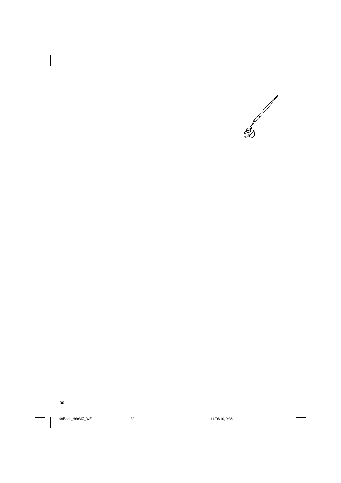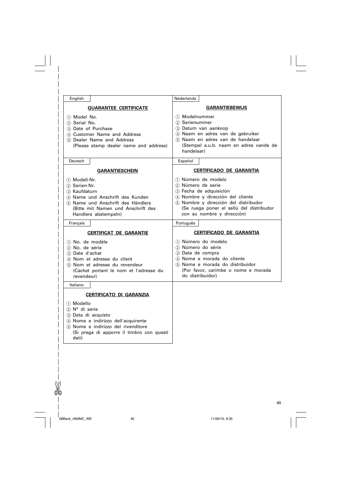| English                                                                                                                                                                                                                  | Nederlands                                                                                                                                                                                                              |  |
|--------------------------------------------------------------------------------------------------------------------------------------------------------------------------------------------------------------------------|-------------------------------------------------------------------------------------------------------------------------------------------------------------------------------------------------------------------------|--|
| <b>GUARANTEE CERTIFICATE</b>                                                                                                                                                                                             | <b>GARANTIEBEWIJS</b>                                                                                                                                                                                                   |  |
| ① Model No.<br>2 Serial No.<br>3 Date of Purchase<br>4) Customer Name and Address<br>(5) Dealer Name and Address<br>(Please stamp dealer name and address)                                                               | 1 Modelnummer<br>2 Serienummer<br>3 Datum van aankoop<br>4) Naam en adres van de gebruiker<br>(5) Naam en adres van de handelaar<br>(Stempel a.u.b. naam en adres vande de<br>handelaar)                                |  |
| Deutsch                                                                                                                                                                                                                  | Español                                                                                                                                                                                                                 |  |
| <b>GARANTIESCHEIN</b>                                                                                                                                                                                                    | <b>CERTIFICADO DE GARANTIA</b>                                                                                                                                                                                          |  |
| ① Modell-Nr.<br>2 Serien-Nr.<br>3 Kaufdaturn<br>4) Name und Anschrift des Kunden<br>(5) Name und Anschrift des Händlers<br>(Bitte mit Namen und Anschrift des<br>Handlers abstempeln)                                    | ① Número de modelo<br>2 Número de serie<br>3 Fecha de adquisición<br>4 Nombre y dirección del cliente<br>5 Nombre y dirección del distribudor<br>(Se ruega poner el sellú del distribudor<br>con su nombre y dirección) |  |
| Français                                                                                                                                                                                                                 | Português                                                                                                                                                                                                               |  |
| <b>CERTIFICAT DE GARANTIE</b>                                                                                                                                                                                            | <b>CERTIFICADO DE GARANTIA</b>                                                                                                                                                                                          |  |
| 1 No. de modèle<br>2 No. de série<br>3 Date d'achat<br>4) Nom et adresse du client<br>(5) Nom et adresse du revendeur<br>(Cachet portant le nom et l'adresse du<br>revendeur)                                            | 1 Número do modelo<br>2 Número do série<br>3 Data de compra<br>4) Nome e morada do cliente<br>(5) Nome e morada do distribuidor<br>(Por favor, carímbe o nome e morada<br>do distribuidor)                              |  |
| Italiano                                                                                                                                                                                                                 |                                                                                                                                                                                                                         |  |
| <b>CERTIFICATO DI GARANZIA</b><br>① Modello<br>2 N° di serie<br>3) Data di acquisto<br>4) Nome e indirizzo dell'acquirente<br>(5) Nome e indirizzo del rivenditore<br>(Si prega di apporre il timbro con questi<br>dati) |                                                                                                                                                                                                                         |  |

 $-$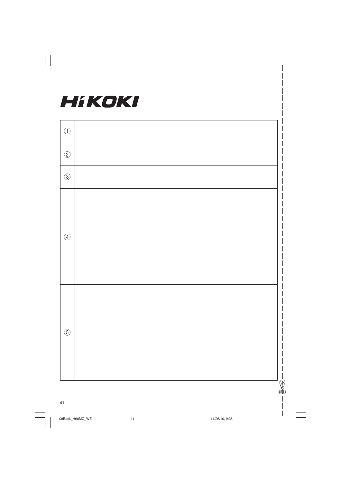

| $\circled{2}$<br>$\circled{3}$<br>$\begin{picture}(40,4) \put(0,0){\vector(0,1){10}} \put(15,0){\vector(0,1){10}} \put(15,0){\vector(0,1){10}} \put(15,0){\vector(0,1){10}} \put(15,0){\vector(0,1){10}} \put(15,0){\vector(0,1){10}} \put(15,0){\vector(0,1){10}} \put(15,0){\vector(0,1){10}} \put(15,0){\vector(0,1){10}} \put(15,0){\vector(0,1){10}} \put(15,0){\vector(0,1){10}} \put(15,0){\vector(0,$<br>$\textcircled{\scriptsize 5}$ | $\begin{array}{c}\n\circ\n\end{array}$ |               |
|------------------------------------------------------------------------------------------------------------------------------------------------------------------------------------------------------------------------------------------------------------------------------------------------------------------------------------------------------------------------------------------------------------------------------------------------|----------------------------------------|---------------|
|                                                                                                                                                                                                                                                                                                                                                                                                                                                |                                        |               |
|                                                                                                                                                                                                                                                                                                                                                                                                                                                |                                        |               |
|                                                                                                                                                                                                                                                                                                                                                                                                                                                |                                        |               |
|                                                                                                                                                                                                                                                                                                                                                                                                                                                |                                        | $\frac{1}{2}$ |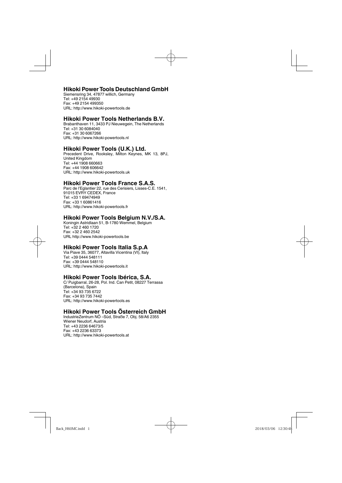# **Hikoki Power Tools Deutschland GmbH**

Siemensring 34, 47877 willich, Germany Tel: +49 2154 49930 Fax: +49 2154 499350 URL: http://www.hikoki-powertools.de

# **Hikoki Power Tools Netherlands B.V.**

Brabanthaven 11, 3433 PJ Nieuwegein, The Netherlands Tel: +31 30 6084040 Fax: +31 30 6067266 URL: http://www.hikoki-powertools.nl

# **Hikoki Power Tools (U.K.) Ltd.**

Precedent Drive, Rooksley, Milton Keynes, MK 13, 8PJ, United Kingdom Tel: +44 1908 660663 Fax: +44 1908 606642 URL: http://www.hikoki-powertools.uk

# **Hikoki Power Tools France S.A.S.**

Parc de l'Eglantier 22, rue des Cerisiers, Lisses-C.E. 1541, 91015 EVRY CEDEX, France Tel: +33 1 69474949 Fax: +33 1 60861416 URL: http://www.hikoki-powertools.fr

# **Hikoki Power Tools Belgium N.V./S.A.**

Koningin Astridlaan 51, B-1780 Wemmel, Belgium Tel: +32 2 460 1720 Fax: +32 2 460 2542 URL http://www.hikoki-powertools.be

# **Hikoki Power Tools Italia S.p.A**

Via Piave 35, 36077, Altavilla Vicentina (VI), Italy Tel: +39 0444 548111 Fax: +39 0444 548110 URL: http://www.hikoki-powertools.it

# **Hikoki Power Tools lbérica, S.A.**

C/ Puigbarral, 26-28, Pol. Ind. Can Petit, 08227 Terrassa (Barcelona), Spain Tel: +34 93 735 6722 Fax: +34 93 735 7442 URL: http://www.hikoki-powertools.es

# **Hikoki Power Tools Österreich GmbH**

IndustrieZentrum NÖ –Süd, Straße 7, Obj. 58/A6 2355 Wiener Neudorf, Austria Tel: +43 2236 64673/5 Fax: +43 2236 63373 URL: http://www.hikoki-powertools.at